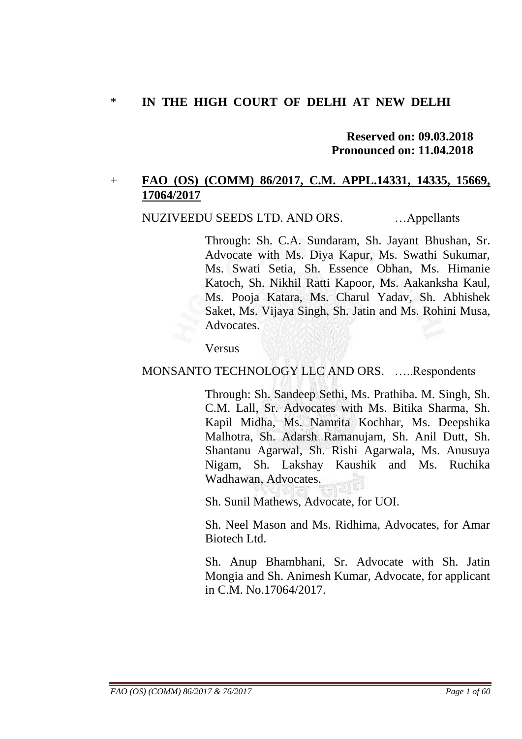## \* **IN THE HIGH COURT OF DELHI AT NEW DELHI**

### **Reserved on: 09.03.2018 Pronounced on: 11.04.2018**

## + **FAO (OS) (COMM) 86/2017, C.M. APPL.14331, 14335, 15669, 17064/2017**

NUZIVEEDU SEEDS LTD. AND ORS. …Appellants

Through: Sh. C.A. Sundaram, Sh. Jayant Bhushan, Sr. Advocate with Ms. Diya Kapur, Ms. Swathi Sukumar, Ms. Swati Setia, Sh. Essence Obhan, Ms. Himanie Katoch, Sh. Nikhil Ratti Kapoor, Ms. Aakanksha Kaul, Ms. Pooja Katara, Ms. Charul Yadav, Sh. Abhishek Saket, Ms. Vijaya Singh, Sh. Jatin and Ms. Rohini Musa, Advocates.

Versus

### MONSANTO TECHNOLOGY LLC AND ORS. …..Respondents

Through: Sh. Sandeep Sethi, Ms. Prathiba. M. Singh, Sh. C.M. Lall, Sr. Advocates with Ms. Bitika Sharma, Sh. Kapil Midha, Ms. Namrita Kochhar, Ms. Deepshika Malhotra, Sh. Adarsh Ramanujam, Sh. Anil Dutt, Sh. Shantanu Agarwal, Sh. Rishi Agarwala, Ms. Anusuya Nigam, Sh. Lakshay Kaushik and Ms. Ruchika Wadhawan, Advocates.

Sh. Sunil Mathews, Advocate, for UOI.

Sh. Neel Mason and Ms. Ridhima, Advocates, for Amar Biotech Ltd.

Sh. Anup Bhambhani, Sr. Advocate with Sh. Jatin Mongia and Sh. Animesh Kumar, Advocate, for applicant in C.M. No.17064/2017.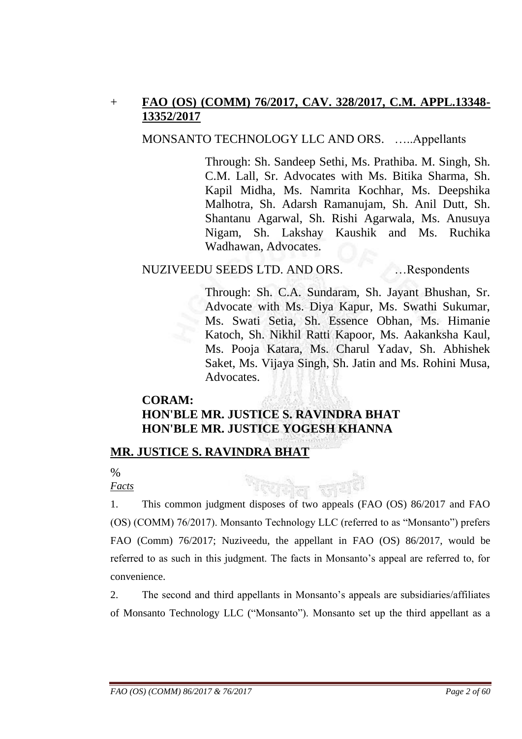# + **FAO (OS) (COMM) 76/2017, CAV. 328/2017, C.M. APPL.13348- 13352/2017**

### MONSANTO TECHNOLOGY LLC AND ORS. …..Appellants

Through: Sh. Sandeep Sethi, Ms. Prathiba. M. Singh, Sh. C.M. Lall, Sr. Advocates with Ms. Bitika Sharma, Sh. Kapil Midha, Ms. Namrita Kochhar, Ms. Deepshika Malhotra, Sh. Adarsh Ramanujam, Sh. Anil Dutt, Sh. Shantanu Agarwal, Sh. Rishi Agarwala, Ms. Anusuya Nigam, Sh. Lakshay Kaushik and Ms. Ruchika Wadhawan, Advocates.

## NUZIVEEDU SEEDS LTD. AND ORS. …Respondents

Through: Sh. C.A. Sundaram, Sh. Jayant Bhushan, Sr. Advocate with Ms. Diya Kapur, Ms. Swathi Sukumar, Ms. Swati Setia, Sh. Essence Obhan, Ms. Himanie Katoch, Sh. Nikhil Ratti Kapoor, Ms. Aakanksha Kaul, Ms. Pooja Katara, Ms. Charul Yadav, Sh. Abhishek Saket, Ms. Vijaya Singh, Sh. Jatin and Ms. Rohini Musa, Advocates.

# **CORAM: HON'BLE MR. JUSTICE S. RAVINDRA BHAT HON'BLE MR. JUSTICE YOGESH KHANNA**

# **MR. JUSTICE S. RAVINDRA BHAT**

 $\%$ 

*Facts*

1. This common judgment disposes of two appeals (FAO (OS) 86/2017 and FAO (OS) (COMM) 76/2017). Monsanto Technology LLC (referred to as "Monsanto") prefers FAO (Comm) 76/2017; Nuziveedu, the appellant in FAO (OS) 86/2017, would be referred to as such in this judgment. The facts in Monsanto"s appeal are referred to, for convenience.

2. The second and third appellants in Monsanto"s appeals are subsidiaries/affiliates of Monsanto Technology LLC ("Monsanto"). Monsanto set up the third appellant as a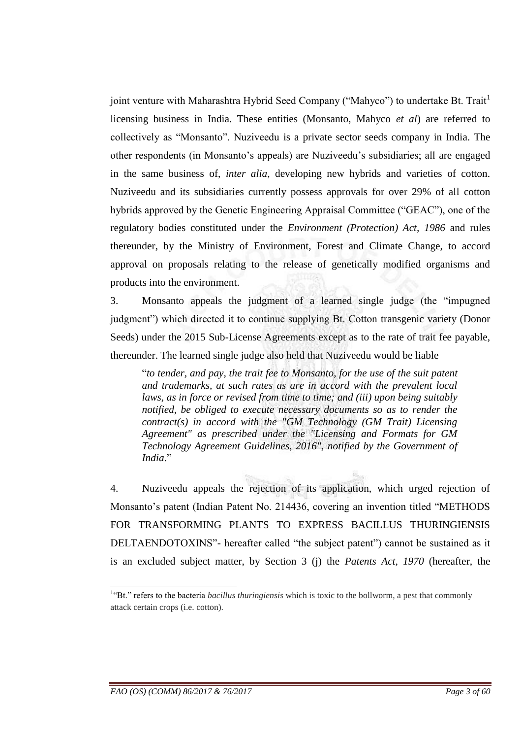joint venture with Maharashtra Hybrid Seed Company ("Mahyco") to undertake Bt. Trait<sup>1</sup> licensing business in India. These entities (Monsanto, Mahyco *et al*) are referred to collectively as "Monsanto". Nuziveedu is a private sector seeds company in India. The other respondents (in Monsanto"s appeals) are Nuziveedu"s subsidiaries; all are engaged in the same business of, *inter alia*, developing new hybrids and varieties of cotton. Nuziveedu and its subsidiaries currently possess approvals for over 29% of all cotton hybrids approved by the Genetic Engineering Appraisal Committee ("GEAC"), one of the regulatory bodies constituted under the *Environment (Protection) Act, 1986* and rules thereunder, by the Ministry of Environment, Forest and Climate Change, to accord approval on proposals relating to the release of genetically modified organisms and products into the environment.

3. Monsanto appeals the judgment of a learned single judge (the "impugned judgment") which directed it to continue supplying Bt. Cotton transgenic variety (Donor Seeds) under the 2015 Sub-License Agreements except as to the rate of trait fee payable, thereunder. The learned single judge also held that Nuziveedu would be liable

"*to tender, and pay, the trait fee to Monsanto, for the use of the suit patent and trademarks, at such rates as are in accord with the prevalent local laws, as in force or revised from time to time; and (iii) upon being suitably notified, be obliged to execute necessary documents so as to render the contract(s) in accord with the "GM Technology (GM Trait) Licensing Agreement" as prescribed under the "Licensing and Formats for GM Technology Agreement Guidelines, 2016", notified by the Government of India*."

4. Nuziveedu appeals the rejection of its application, which urged rejection of Monsanto's patent (Indian Patent No. 214436, covering an invention titled "METHODS" FOR TRANSFORMING PLANTS TO EXPRESS BACILLUS THURINGIENSIS DELTAENDOTOXINS"- hereafter called "the subject patent") cannot be sustained as it is an excluded subject matter, by Section 3 (j) the *Patents Act, 1970* (hereafter, the

-

<sup>&</sup>lt;sup>1</sup>"Bt." refers to the bacteria *bacillus thuringiensis* which is toxic to the bollworm, a pest that commonly attack certain crops (i.e. cotton).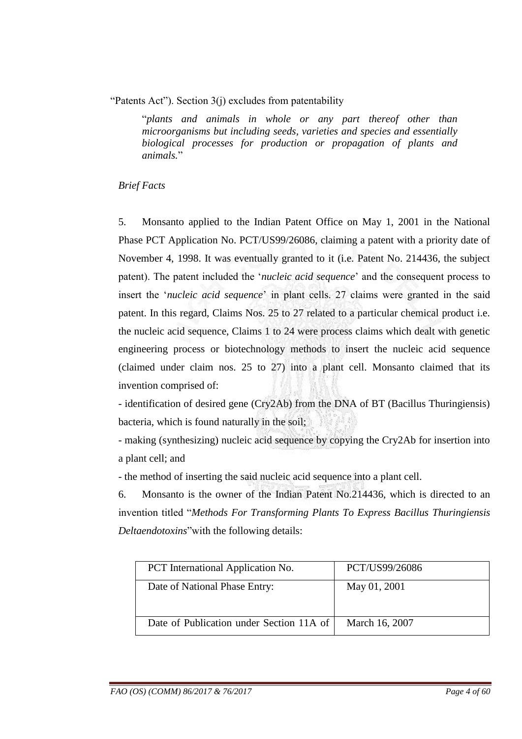"Patents Act"). Section 3(j) excludes from patentability

"*plants and animals in whole or any part thereof other than microorganisms but including seeds, varieties and species and essentially biological processes for production or propagation of plants and animals.*"

### *Brief Facts*

5. Monsanto applied to the Indian Patent Office on May 1, 2001 in the National Phase PCT Application No. PCT/US99/26086, claiming a patent with a priority date of November 4, 1998. It was eventually granted to it (i.e. Patent No. 214436, the subject patent). The patent included the "*nucleic acid sequence*" and the consequent process to insert the "*nucleic acid sequence*" in plant cells. 27 claims were granted in the said patent. In this regard, Claims Nos. 25 to 27 related to a particular chemical product i.e. the nucleic acid sequence, Claims 1 to 24 were process claims which dealt with genetic engineering process or biotechnology methods to insert the nucleic acid sequence (claimed under claim nos. 25 to 27) into a plant cell. Monsanto claimed that its invention comprised of:

- identification of desired gene (Cry2Ab) from the DNA of BT (Bacillus Thuringiensis) bacteria, which is found naturally in the soil;

- making (synthesizing) nucleic acid sequence by copying the Cry2Ab for insertion into a plant cell; and

- the method of inserting the said nucleic acid sequence into a plant cell.

6. Monsanto is the owner of the Indian Patent No.214436, which is directed to an invention titled "*Methods For Transforming Plants To Express Bacillus Thuringiensis Deltaendotoxins*"with the following details:

| <b>PCT</b> International Application No. | PCT/US99/26086 |
|------------------------------------------|----------------|
| Date of National Phase Entry:            | May 01, 2001   |
| Date of Publication under Section 11A of | March 16, 2007 |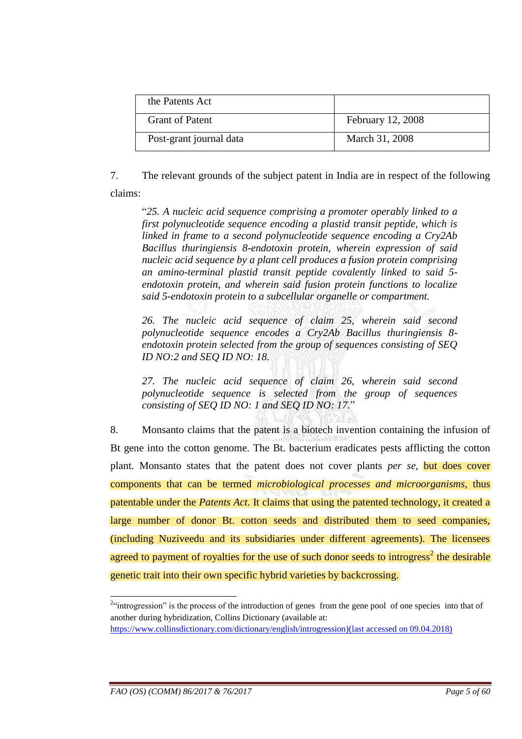| the Patents Act         |                   |
|-------------------------|-------------------|
| <b>Grant of Patent</b>  | February 12, 2008 |
| Post-grant journal data | March 31, 2008    |

7. The relevant grounds of the subject patent in India are in respect of the following claims:

"*25. A nucleic acid sequence comprising a promoter operably linked to a first polynucleotide sequence encoding a plastid transit peptide, which is linked in frame to a second polynucleotide sequence encoding a Cry2Ab Bacillus thuringiensis 8-endotoxin protein, wherein expression of said nucleic acid sequence by a plant cell produces a fusion protein comprising an amino-terminal plastid transit peptide covalently linked to said 5 endotoxin protein, and wherein said fusion protein functions to localize said 5-endotoxin protein to a subcellular organelle or compartment.* 

*26. The nucleic acid sequence of claim 25, wherein said second polynucleotide sequence encodes a Cry2Ab Bacillus thuringiensis 8 endotoxin protein selected from the group of sequences consisting of SEQ ID NO:2 and SEQ ID NO: 18.* 

*27. The nucleic acid sequence of claim 26, wherein said second polynucleotide sequence is selected from the group of sequences consisting of SEQ ID NO: 1 and SEQ ID NO: 17.*"

8. Monsanto claims that the patent is a biotech invention containing the infusion of Bt gene into the cotton genome. The Bt. bacterium eradicates pests afflicting the cotton plant. Monsanto states that the patent does not cover plants *per se*, but does cover components that can be termed *microbiological processes and microorganisms,* thus patentable under the *Patents Act*. It claims that using the patented technology, it created a large number of donor Bt. cotton seeds and distributed them to seed companies, (including Nuziveedu and its subsidiaries under different agreements). The licensees agreed to payment of royalties for the use of such donor seeds to introgress<sup>2</sup> the desirable genetic trait into their own specific hybrid varieties by backcrossing.

<sup>&</sup>lt;sup>2</sup> introgression" is the process of the introduction of genes from the gene pool of one species into that of another during hybridization, Collins Dictionary (available at:

[https://www.collinsdictionary.com/dictionary/english/introgression\)](https://www.collinsdictionary.com/dictionary/english/introgression)(last accessed on 09.04.2018)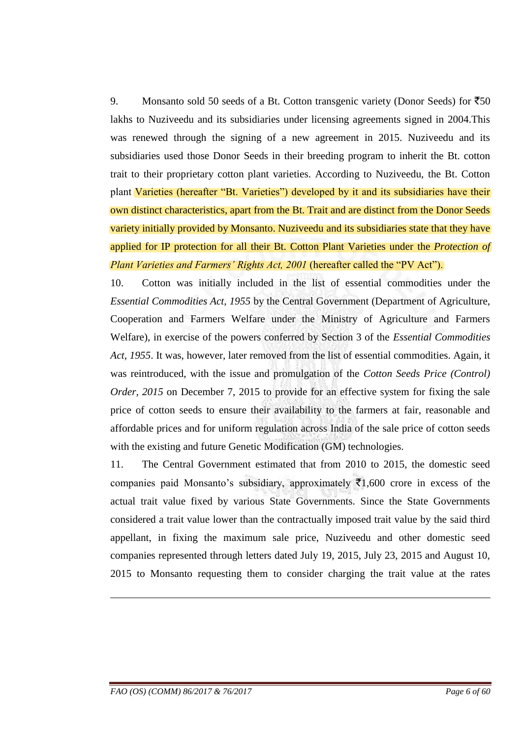9. Monsanto sold 50 seeds of a Bt. Cotton transgenic variety (Donor Seeds) for  $\overline{550}$ lakhs to Nuziveedu and its subsidiaries under licensing agreements signed in 2004.This was renewed through the signing of a new agreement in 2015. Nuziveedu and its subsidiaries used those Donor Seeds in their breeding program to inherit the Bt. cotton trait to their proprietary cotton plant varieties. According to Nuziveedu, the Bt. Cotton plant Varieties (hereafter "Bt. Varieties") developed by it and its subsidiaries have their own distinct characteristics, apart from the Bt. Trait and are distinct from the Donor Seeds variety initially provided by Monsanto. Nuziveedu and its subsidiaries state that they have applied for IP protection for all their Bt. Cotton Plant Varieties under the *Protection of Plant Varieties and Farmers' Rights Act, 2001* (hereafter called the "PV Act").

10. Cotton was initially included in the list of essential commodities under the *Essential Commodities Act, 1955* by the Central Government (Department of Agriculture, Cooperation and Farmers Welfare under the Ministry of Agriculture and Farmers Welfare), in exercise of the powers conferred by Section 3 of the *Essential Commodities Act, 1955*. It was, however, later removed from the list of essential commodities. Again, it was reintroduced, with the issue and promulgation of the *Cotton Seeds Price (Control) Order, 2015* on December 7, 2015 to provide for an effective system for fixing the sale price of cotton seeds to ensure their availability to the farmers at fair, reasonable and affordable prices and for uniform regulation across India of the sale price of cotton seeds with the existing and future Genetic Modification (GM) technologies.

11. The Central Government estimated that from 2010 to 2015, the domestic seed companies paid Monsanto's subsidiary, approximately  $\bar{\mathcal{F}}1,600$  crore in excess of the actual trait value fixed by various State Governments. Since the State Governments considered a trait value lower than the contractually imposed trait value by the said third appellant, in fixing the maximum sale price, Nuziveedu and other domestic seed companies represented through letters dated July 19, 2015, July 23, 2015 and August 10, 2015 to Monsanto requesting them to consider charging the trait value at the rates

<u>.</u>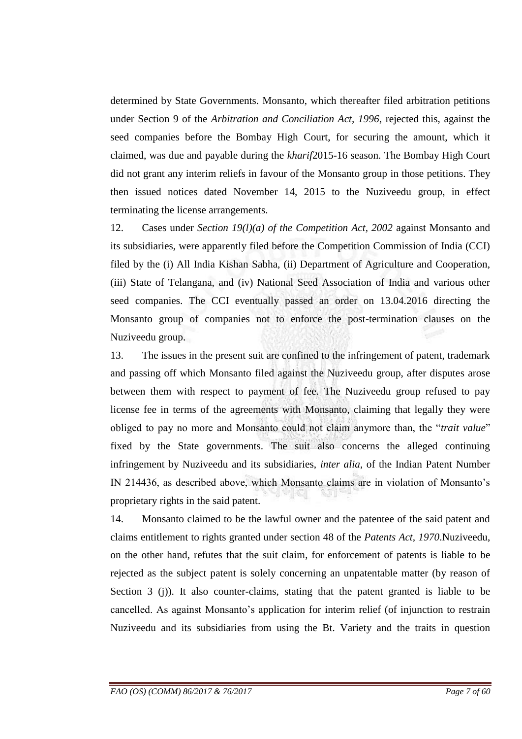determined by State Governments. Monsanto, which thereafter filed arbitration petitions under Section 9 of the *Arbitration and Conciliation Act, 1996*, rejected this, against the seed companies before the Bombay High Court, for securing the amount, which it claimed, was due and payable during the *kharif*2015-16 season. The Bombay High Court did not grant any interim reliefs in favour of the Monsanto group in those petitions. They then issued notices dated November 14, 2015 to the Nuziveedu group, in effect terminating the license arrangements.

12. Cases under *Section 19(l)(a) of the Competition Act, 2002* against Monsanto and its subsidiaries, were apparently filed before the Competition Commission of India (CCI) filed by the (i) All India Kishan Sabha, (ii) Department of Agriculture and Cooperation, (iii) State of Telangana, and (iv) National Seed Association of India and various other seed companies. The CCI eventually passed an order on 13.04.2016 directing the Monsanto group of companies not to enforce the post-termination clauses on the Nuziveedu group.

13. The issues in the present suit are confined to the infringement of patent, trademark and passing off which Monsanto filed against the Nuziveedu group, after disputes arose between them with respect to payment of fee. The Nuziveedu group refused to pay license fee in terms of the agreements with Monsanto, claiming that legally they were obliged to pay no more and Monsanto could not claim anymore than, the "*trait value*" fixed by the State governments. The suit also concerns the alleged continuing infringement by Nuziveedu and its subsidiaries, *inter alia*, of the Indian Patent Number IN 214436, as described above, which Monsanto claims are in violation of Monsanto"s proprietary rights in the said patent.

14. Monsanto claimed to be the lawful owner and the patentee of the said patent and claims entitlement to rights granted under section 48 of the *Patents Act, 1970*.Nuziveedu, on the other hand, refutes that the suit claim, for enforcement of patents is liable to be rejected as the subject patent is solely concerning an unpatentable matter (by reason of Section 3 (j)). It also counter-claims, stating that the patent granted is liable to be cancelled. As against Monsanto"s application for interim relief (of injunction to restrain Nuziveedu and its subsidiaries from using the Bt. Variety and the traits in question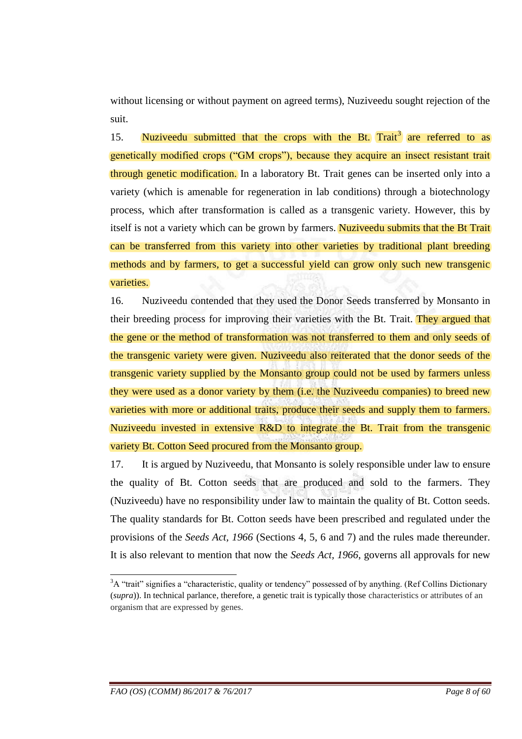without licensing or without payment on agreed terms), Nuziveedu sought rejection of the suit.

15. Nuziveedu submitted that the crops with the Bt.  $\text{Trait}^3$  are referred to as genetically modified crops ("GM crops"), because they acquire an insect resistant trait through genetic modification. In a laboratory Bt. Trait genes can be inserted only into a variety (which is amenable for regeneration in lab conditions) through a biotechnology process, which after transformation is called as a transgenic variety. However, this by itself is not a variety which can be grown by farmers. Nuzive edu submits that the Bt Trait can be transferred from this variety into other varieties by traditional plant breeding methods and by farmers, to get a successful yield can grow only such new transgenic varieties.

16. Nuziveedu contended that they used the Donor Seeds transferred by Monsanto in their breeding process for improving their varieties with the Bt. Trait. They argued that the gene or the method of transformation was not transferred to them and only seeds of the transgenic variety were given. Nuziveedu also reiterated that the donor seeds of the transgenic variety supplied by the Monsanto group could not be used by farmers unless they were used as a donor variety by them (i.e. the Nuziveedu companies) to breed new varieties with more or additional traits, produce their seeds and supply them to farmers. Nuziveedu invested in extensive R&D to integrate the Bt. Trait from the transgenic variety Bt. Cotton Seed procured from the Monsanto group.

17. It is argued by Nuziveedu, that Monsanto is solely responsible under law to ensure the quality of Bt. Cotton seeds that are produced and sold to the farmers. They (Nuziveedu) have no responsibility under law to maintain the quality of Bt. Cotton seeds. The quality standards for Bt. Cotton seeds have been prescribed and regulated under the provisions of the *Seeds Act, 1966* (Sections 4, 5, 6 and 7) and the rules made thereunder. It is also relevant to mention that now the *Seeds Act, 1966*, governs all approvals for new

<u>.</u>

<sup>&</sup>lt;sup>3</sup>A "trait" signifies a "characteristic, quality or tendency" possessed of by anything. (Ref Collins Dictionary (*supra*)). In technical parlance, therefore, a genetic trait is typically those characteristics or attributes of an organism that are expressed by genes.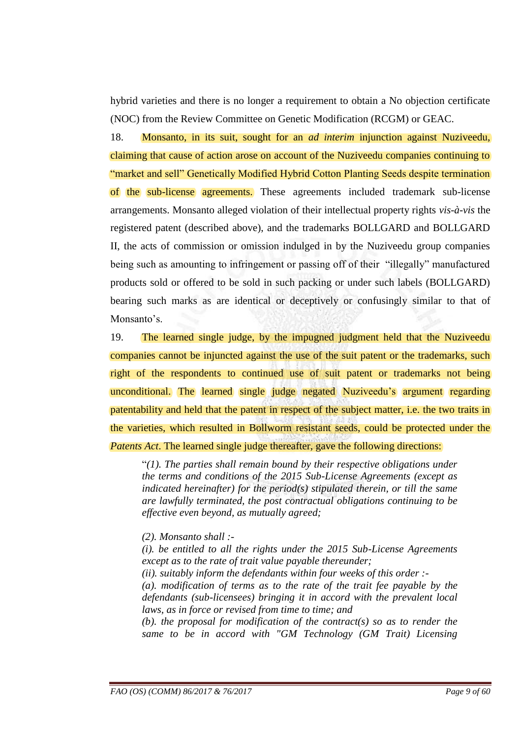hybrid varieties and there is no longer a requirement to obtain a No objection certificate (NOC) from the Review Committee on Genetic Modification (RCGM) or GEAC.

18. Monsanto, in its suit, sought for an *ad interim* injunction against Nuziveedu, claiming that cause of action arose on account of the Nuziveedu companies continuing to "market and sell" Genetically Modified Hybrid Cotton Planting Seeds despite termination of the sub-license agreements. These agreements included trademark sub-license arrangements. Monsanto alleged violation of their intellectual property rights *vis-à-vis* the registered patent (described above), and the trademarks BOLLGARD and BOLLGARD II, the acts of commission or omission indulged in by the Nuziveedu group companies being such as amounting to infringement or passing off of their "illegally" manufactured products sold or offered to be sold in such packing or under such labels (BOLLGARD) bearing such marks as are identical or deceptively or confusingly similar to that of Monsanto's.

19. The learned single judge, by the impugned judgment held that the Nuziveedu companies cannot be injuncted against the use of the suit patent or the trademarks, such right of the respondents to continued use of suit patent or trademarks not being unconditional. The learned single judge negated Nuziveedu"s argument regarding patentability and held that the patent in respect of the subject matter, i.e. the two traits in the varieties, which resulted in Bollworm resistant seeds, could be protected under the *Patents Act*. The learned single judge thereafter, gave the following directions:

"*(1). The parties shall remain bound by their respective obligations under the terms and conditions of the 2015 Sub-License Agreements (except as indicated hereinafter) for the period(s) stipulated therein, or till the same are lawfully terminated, the post contractual obligations continuing to be effective even beyond, as mutually agreed;* 

- *(2). Monsanto shall :-*
- *(i). be entitled to all the rights under the 2015 Sub-License Agreements except as to the rate of trait value payable thereunder;*
- *(ii). suitably inform the defendants within four weeks of this order :-*
- *(a). modification of terms as to the rate of the trait fee payable by the defendants (sub-licensees) bringing it in accord with the prevalent local laws, as in force or revised from time to time; and*
- *(b). the proposal for modification of the contract(s) so as to render the same to be in accord with "GM Technology (GM Trait) Licensing*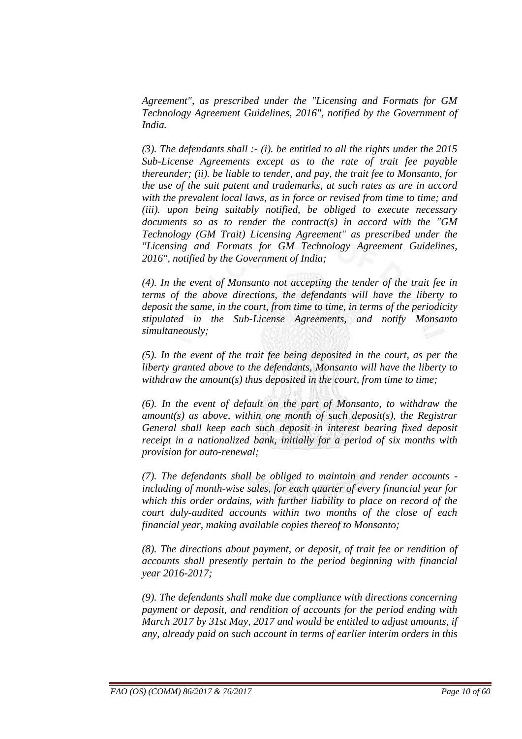*Agreement", as prescribed under the "Licensing and Formats for GM Technology Agreement Guidelines, 2016", notified by the Government of India.* 

*(3). The defendants shall :- (i). be entitled to all the rights under the 2015 Sub-License Agreements except as to the rate of trait fee payable thereunder; (ii). be liable to tender, and pay, the trait fee to Monsanto, for the use of the suit patent and trademarks, at such rates as are in accord with the prevalent local laws, as in force or revised from time to time; and (iii). upon being suitably notified, be obliged to execute necessary documents so as to render the contract(s) in accord with the "GM Technology (GM Trait) Licensing Agreement" as prescribed under the "Licensing and Formats for GM Technology Agreement Guidelines, 2016", notified by the Government of India;* 

*(4). In the event of Monsanto not accepting the tender of the trait fee in terms of the above directions, the defendants will have the liberty to deposit the same, in the court, from time to time, in terms of the periodicity stipulated in the Sub-License Agreements, and notify Monsanto simultaneously;* 

*(5). In the event of the trait fee being deposited in the court, as per the liberty granted above to the defendants, Monsanto will have the liberty to withdraw the amount(s) thus deposited in the court, from time to time;* 

*(6). In the event of default on the part of Monsanto, to withdraw the amount(s) as above, within one month of such deposit(s), the Registrar General shall keep each such deposit in interest bearing fixed deposit receipt in a nationalized bank, initially for a period of six months with provision for auto-renewal;* 

*(7). The defendants shall be obliged to maintain and render accounts including of month-wise sales, for each quarter of every financial year for which this order ordains, with further liability to place on record of the court duly-audited accounts within two months of the close of each financial year, making available copies thereof to Monsanto;* 

*(8). The directions about payment, or deposit, of trait fee or rendition of accounts shall presently pertain to the period beginning with financial year 2016-2017;*

*(9). The defendants shall make due compliance with directions concerning payment or deposit, and rendition of accounts for the period ending with March 2017 by 31st May, 2017 and would be entitled to adjust amounts, if any, already paid on such account in terms of earlier interim orders in this*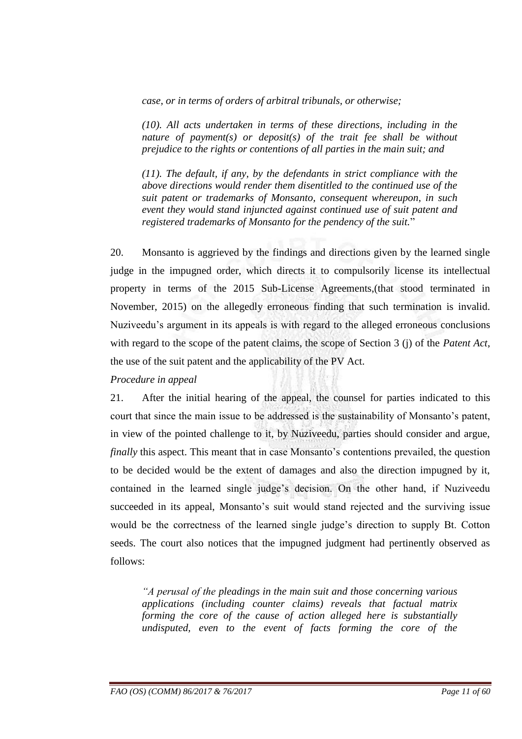*case, or in terms of orders of arbitral tribunals, or otherwise;* 

*(10). All acts undertaken in terms of these directions, including in the nature of payment(s) or deposit(s) of the trait fee shall be without prejudice to the rights or contentions of all parties in the main suit; and* 

*(11). The default, if any, by the defendants in strict compliance with the above directions would render them disentitled to the continued use of the suit patent or trademarks of Monsanto, consequent whereupon, in such event they would stand injuncted against continued use of suit patent and registered trademarks of Monsanto for the pendency of the suit.*"

20. Monsanto is aggrieved by the findings and directions given by the learned single judge in the impugned order, which directs it to compulsorily license its intellectual property in terms of the 2015 Sub-License Agreements,(that stood terminated in November, 2015) on the allegedly erroneous finding that such termination is invalid. Nuziveedu"s argument in its appeals is with regard to the alleged erroneous conclusions with regard to the scope of the patent claims, the scope of Section 3 (j) of the *Patent Act*, the use of the suit patent and the applicability of the PV Act.

### *Procedure in appeal*

21. After the initial hearing of the appeal, the counsel for parties indicated to this court that since the main issue to be addressed is the sustainability of Monsanto"s patent, in view of the pointed challenge to it, by Nuziveedu, parties should consider and argue, *finally* this aspect. This meant that in case Monsanto's contentions prevailed, the question to be decided would be the extent of damages and also the direction impugned by it, contained in the learned single judge"s decision. On the other hand, if Nuziveedu succeeded in its appeal, Monsanto's suit would stand rejected and the surviving issue would be the correctness of the learned single judge's direction to supply Bt. Cotton seeds. The court also notices that the impugned judgment had pertinently observed as follows:

*―A perusal of the pleadings in the main suit and those concerning various applications (including counter claims) reveals that factual matrix forming the core of the cause of action alleged here is substantially undisputed, even to the event of facts forming the core of the*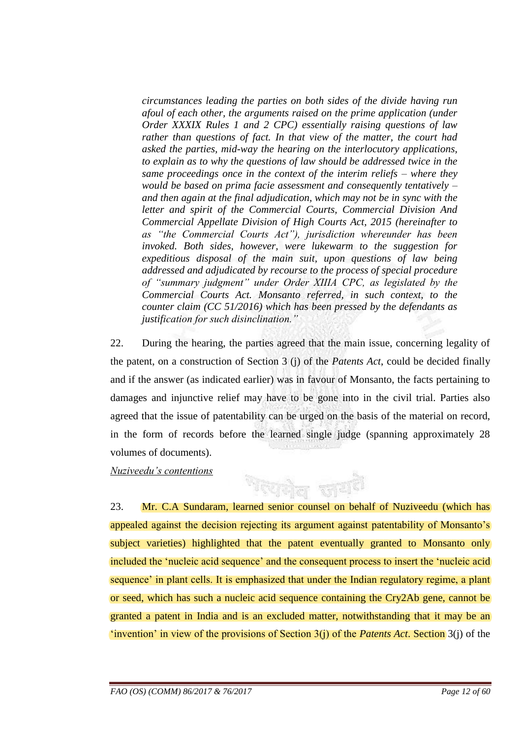*circumstances leading the parties on both sides of the divide having run afoul of each other, the arguments raised on the prime application (under Order XXXIX Rules 1 and 2 CPC) essentially raising questions of law rather than questions of fact. In that view of the matter, the court had asked the parties, mid-way the hearing on the interlocutory applications, to explain as to why the questions of law should be addressed twice in the same proceedings once in the context of the interim reliefs – where they would be based on prima facie assessment and consequently tentatively – and then again at the final adjudication, which may not be in sync with the letter and spirit of the Commercial Courts, Commercial Division And Commercial Appellate Division of High Courts Act, 2015 (hereinafter to as ―the Commercial Courts Act‖), jurisdiction whereunder has been invoked. Both sides, however, were lukewarm to the suggestion for expeditious disposal of the main suit, upon questions of law being addressed and adjudicated by recourse to the process of special procedure of ―summary judgment‖ under Order XIIIA CPC, as legislated by the Commercial Courts Act. Monsanto referred, in such context, to the counter claim (CC 51/2016) which has been pressed by the defendants as justification for such disinclination.‖*

22. During the hearing, the parties agreed that the main issue, concerning legality of the patent, on a construction of Section 3 (j) of the *Patents Act*, could be decided finally and if the answer (as indicated earlier) was in favour of Monsanto, the facts pertaining to damages and injunctive relief may have to be gone into in the civil trial. Parties also agreed that the issue of patentability can be urged on the basis of the material on record, in the form of records before the learned single judge (spanning approximately 28 volumes of documents).

*Nuziveedu's contentions*

23. Mr. C.A Sundaram, learned senior counsel on behalf of Nuziveedu (which has appealed against the decision rejecting its argument against patentability of Monsanto's subject varieties) highlighted that the patent eventually granted to Monsanto only included the "nucleic acid sequence" and the consequent process to insert the "nucleic acid sequence' in plant cells. It is emphasized that under the Indian regulatory regime, a plant or seed, which has such a nucleic acid sequence containing the Cry2Ab gene, cannot be granted a patent in India and is an excluded matter, notwithstanding that it may be an "invention" in view of the provisions of Section  $3(j)$  of the *Patents Act*. Section  $3(j)$  of the

新可

भारप्रकोल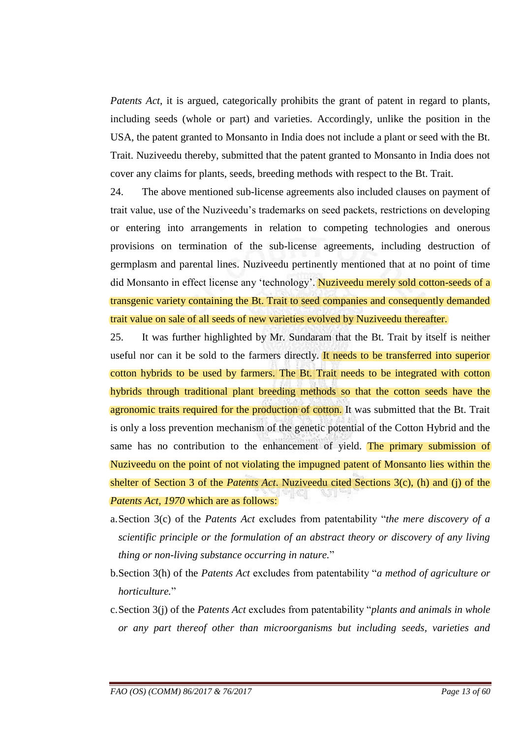*Patents Act*, it is argued, categorically prohibits the grant of patent in regard to plants, including seeds (whole or part) and varieties. Accordingly, unlike the position in the USA, the patent granted to Monsanto in India does not include a plant or seed with the Bt. Trait. Nuziveedu thereby, submitted that the patent granted to Monsanto in India does not cover any claims for plants, seeds, breeding methods with respect to the Bt. Trait.

24. The above mentioned sub-license agreements also included clauses on payment of trait value, use of the Nuziveedu"s trademarks on seed packets, restrictions on developing or entering into arrangements in relation to competing technologies and onerous provisions on termination of the sub-license agreements, including destruction of germplasm and parental lines. Nuziveedu pertinently mentioned that at no point of time did Monsanto in effect license any 'technology'. Nuziveedu merely sold cotton-seeds of a transgenic variety containing the Bt. Trait to seed companies and consequently demanded trait value on sale of all seeds of new varieties evolved by Nuziveedu thereafter.

25. It was further highlighted by Mr. Sundaram that the Bt. Trait by itself is neither useful nor can it be sold to the farmers directly. It needs to be transferred into superior cotton hybrids to be used by farmers. The Bt. Trait needs to be integrated with cotton hybrids through traditional plant breeding methods so that the cotton seeds have the agronomic traits required for the production of cotton. It was submitted that the Bt. Trait is only a loss prevention mechanism of the genetic potential of the Cotton Hybrid and the same has no contribution to the enhancement of yield. The primary submission of Nuziveedu on the point of not violating the impugned patent of Monsanto lies within the shelter of Section 3 of the *Patents Act*. Nuziveedu cited Sections 3(c), (h) and (j) of the *Patents Act, 1970* which are as follows:

- a.Section 3(c) of the *Patents Act* excludes from patentability "*the mere discovery of a scientific principle or the formulation of an abstract theory or discovery of any living thing or non-living substance occurring in nature.*"
- b.Section 3(h) of the *Patents Act* excludes from patentability "*a method of agriculture or horticulture.*"
- c.Section 3(j) of the *Patents Act* excludes from patentability "*plants and animals in whole or any part thereof other than microorganisms but including seeds, varieties and*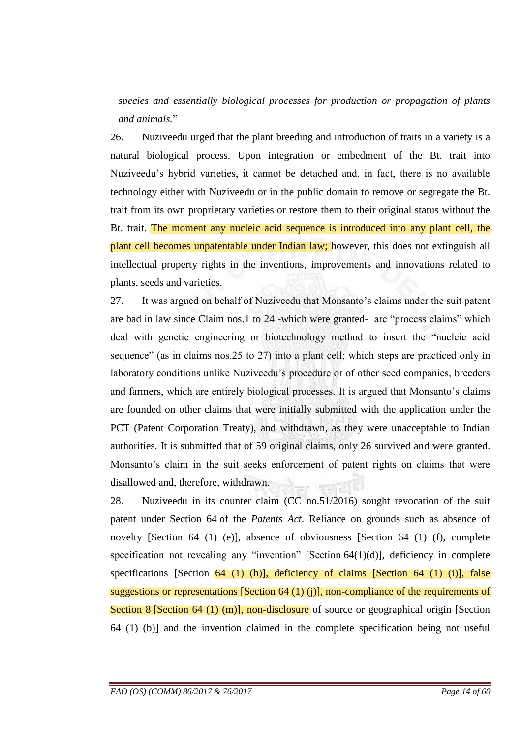*species and essentially biological processes for production or propagation of plants and animals.*"

26. Nuziveedu urged that the plant breeding and introduction of traits in a variety is a natural biological process. Upon integration or embedment of the Bt. trait into Nuziveedu"s hybrid varieties, it cannot be detached and, in fact, there is no available technology either with Nuziveedu or in the public domain to remove or segregate the Bt. trait from its own proprietary varieties or restore them to their original status without the Bt. trait. The moment any nucleic acid sequence is introduced into any plant cell, the plant cell becomes unpatentable under Indian law; however, this does not extinguish all intellectual property rights in the inventions, improvements and innovations related to plants, seeds and varieties.

27. It was argued on behalf of Nuziveedu that Monsanto"s claims under the suit patent are bad in law since Claim nos.1 to 24 -which were granted- are "process claims" which deal with genetic engineering or biotechnology method to insert the "nucleic acid sequence" (as in claims nos.25 to 27) into a plant cell; which steps are practiced only in laboratory conditions unlike Nuziveedu"s procedure or of other seed companies, breeders and farmers, which are entirely biological processes. It is argued that Monsanto"s claims are founded on other claims that were initially submitted with the application under the PCT (Patent Corporation Treaty), and withdrawn, as they were unacceptable to Indian authorities. It is submitted that of 59 original claims, only 26 survived and were granted. Monsanto's claim in the suit seeks enforcement of patent rights on claims that were disallowed and, therefore, withdrawn.

28. Nuziveedu in its counter claim (CC no.51/2016) sought revocation of the suit patent under Section 64 of the *Patents Act*. Reliance on grounds such as absence of novelty [Section 64 (1) (e)], absence of obviousness [Section 64 (1) (f), complete specification not revealing any "invention" [Section 64(1)(d)], deficiency in complete specifications [Section  $\overline{64}$  (1) (h)], deficiency of claims [Section 64 (1) (i)], false suggestions or representations [Section 64 (1) (j)], non-compliance of the requirements of Section 8 [Section 64 (1) (m)], non-disclosure of source or geographical origin [Section 64 (1) (b)] and the invention claimed in the complete specification being not useful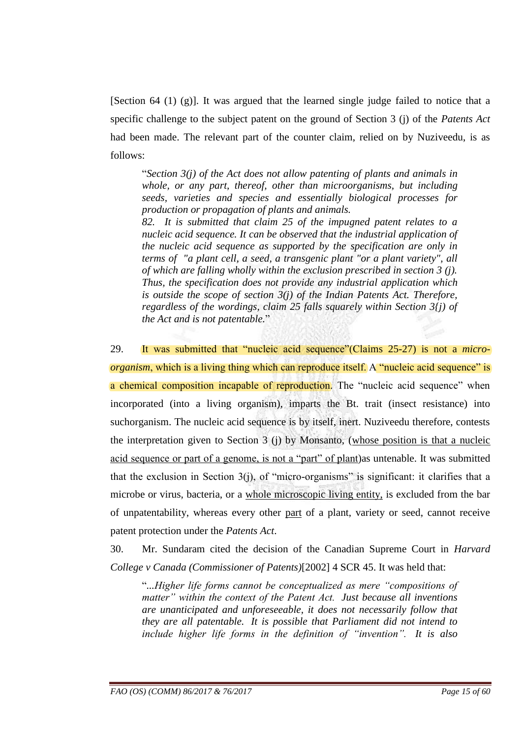[Section 64 (1) (g)]. It was argued that the learned single judge failed to notice that a specific challenge to the subject patent on the ground of Section 3 (j) of the *Patents Act* had been made. The relevant part of the counter claim, relied on by Nuziveedu, is as follows:

"*Section 3(j) of the Act does not allow patenting of plants and animals in whole, or any part, thereof, other than microorganisms, but including seeds, varieties and species and essentially biological processes for production or propagation of plants and animals. 82. It is submitted that claim 25 of the impugned patent relates to a nucleic acid sequence. It can be observed that the industrial application of*

*the nucleic acid sequence as supported by the specification are only in terms of "a plant cell, a seed, a transgenic plant "or a plant variety", all of which are falling wholly within the exclusion prescribed in section 3 (j). Thus, the specification does not provide any industrial application which is outside the scope of section 3(j) of the Indian Patents Act. Therefore, regardless of the wordings, claim 25 falls squarely within Section 3{j) of the Act and is not patentable.*"

29. It was submitted that "nucleic acid sequence"(Claims 25-27) is not a *microorganism*, which is a living thing which can reproduce itself. A "nucleic acid sequence" is a chemical composition incapable of reproduction. The "nucleic acid sequence" when incorporated (into a living organism), imparts the Bt. trait (insect resistance) into suchorganism. The nucleic acid sequence is by itself, inert. Nuziveedu therefore, contests the interpretation given to Section 3 (j) by Monsanto, (whose position is that a nucleic acid sequence or part of a genome, is not a "part" of plant)as untenable. It was submitted that the exclusion in Section  $3(i)$ , of "micro-organisms" is significant: it clarifies that a microbe or virus, bacteria, or a whole microscopic living entity, is excluded from the bar of unpatentability, whereas every other part of a plant, variety or seed, cannot receive patent protection under the *Patents Act*.

30. Mr. Sundaram cited the decision of the Canadian Supreme Court in *Harvard College v Canada (Commissioner of Patents)*[2002] 4 SCR 45. It was held that:

"*...Higher life forms cannot be conceptualized as mere ―compositions of matter‖ within the context of the Patent Act. Just because all inventions are unanticipated and unforeseeable, it does not necessarily follow that they are all patentable. It is possible that Parliament did not intend to include higher life forms in the definition of "invention". It is also*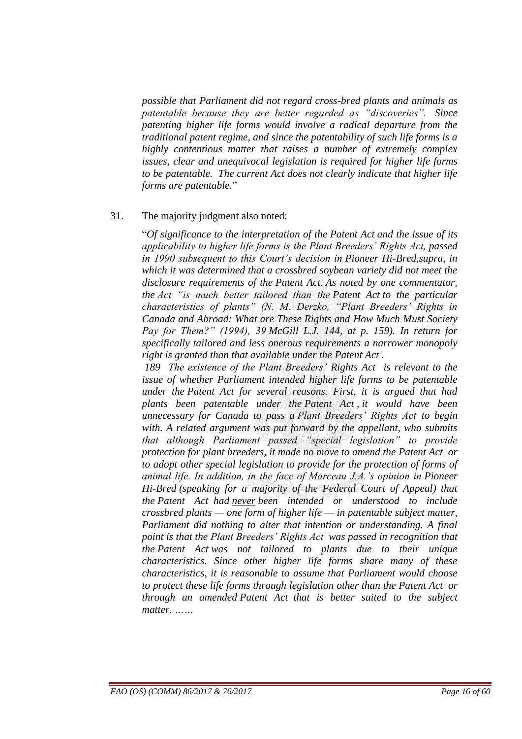*possible that Parliament did not regard cross-bred plants and animals as patentable because they are better regarded as ―discoveries‖. Since patenting higher life forms would involve a radical departure from the traditional patent regime, and since the patentability of such life forms is a highly contentious matter that raises a number of extremely complex issues, clear and unequivocal legislation is required for higher life forms to be patentable. The current Act does not clearly indicate that higher life forms are patentable.*"

#### 31. The majority judgment also noted:

"*Of significance to the interpretation of the Patent Act and the issue of its applicability to higher life forms is the Plant Breeders' Rights Act, passed in 1990 subsequent to this Court's decision in Pioneer Hi-Bred,supra, in which it was determined that a crossbred soybean variety did not meet the disclosure requirements of the Patent Act. As noted by one commentator, the Act ―is much better tailored than the Patent Act to the particular characteristics of plants*" (N. M. Derzko, "Plant Breeders' Rights in *Canada and Abroad: What are These Rights and How Much Must Society Pay for Them?‖ (1994), 39 McGill L.J. 144, at p. 159). In return for specifically tailored and less onerous requirements a narrower monopoly right is granted than that available under the Patent Act .*

*189 The existence of the Plant Breeders' Rights Act is relevant to the issue of whether Parliament intended higher life forms to be patentable under the Patent Act for several reasons. First, it is argued that had plants been patentable under the Patent Act , it would have been unnecessary for Canada to pass a Plant Breeders' Rights Act to begin with. A related argument was put forward by the appellant, who submits that although Parliament passed "special legislation" to provide protection for plant breeders, it made no move to amend the Patent Act or to adopt other special legislation to provide for the protection of forms of animal life. In addition, in the face of Marceau J.A.'s opinion in Pioneer Hi-Bred (speaking for a majority of the Federal Court of Appeal) that the Patent Act had never been intended or understood to include crossbred plants — one form of higher life — in patentable subject matter, Parliament did nothing to alter that intention or understanding. A final point is that the Plant Breeders' Rights Act was passed in recognition that the Patent Act was not tailored to plants due to their unique characteristics. Since other higher life forms share many of these characteristics, it is reasonable to assume that Parliament would choose to protect these life forms through legislation other than the Patent Act or through an amended Patent Act that is better suited to the subject matter. ……*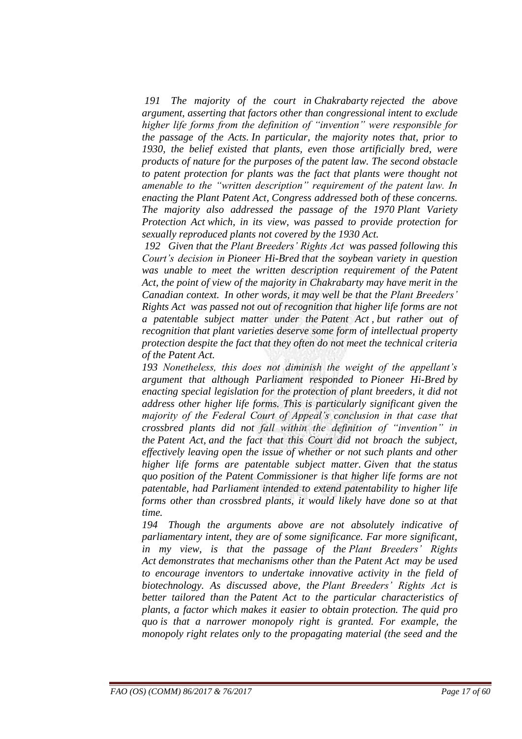*191 The majority of the court in Chakrabarty rejected the above argument, asserting that factors other than congressional intent to exclude higher life forms from the definition of "invention" were responsible for the passage of the Acts. In particular, the majority notes that, prior to 1930, the belief existed that plants, even those artificially bred, were products of nature for the purposes of the patent law. The second obstacle to patent protection for plants was the fact that plants were thought not amenable to the "written description" requirement of the patent law. In enacting the Plant Patent Act, Congress addressed both of these concerns. The majority also addressed the passage of the 1970 Plant Variety Protection Act which, in its view, was passed to provide protection for sexually reproduced plants not covered by the 1930 Act.*

*192 Given that the Plant Breeders' Rights Act was passed following this Court's decision in Pioneer Hi-Bred that the soybean variety in question was unable to meet the written description requirement of the Patent Act, the point of view of the majority in Chakrabarty may have merit in the Canadian context. In other words, it may well be that the Plant Breeders' Rights Act was passed not out of recognition that higher life forms are not a patentable subject matter under the Patent Act , but rather out of recognition that plant varieties deserve some form of intellectual property protection despite the fact that they often do not meet the technical criteria of the Patent Act.*

*193 Nonetheless, this does not diminish the weight of the appellant's argument that although Parliament responded to Pioneer Hi-Bred by enacting special legislation for the protection of plant breeders, it did not address other higher life forms. This is particularly significant given the majority of the Federal Court of Appeal's conclusion in that case that crossbred plants did not fall within the definition of "invention" in the Patent Act, and the fact that this Court did not broach the subject, effectively leaving open the issue of whether or not such plants and other higher life forms are patentable subject matter. Given that the status quo position of the Patent Commissioner is that higher life forms are not patentable, had Parliament intended to extend patentability to higher life forms other than crossbred plants, it would likely have done so at that time.*

*194 Though the arguments above are not absolutely indicative of parliamentary intent, they are of some significance. Far more significant, in my view, is that the passage of the Plant Breeders' Rights Act demonstrates that mechanisms other than the Patent Act may be used to encourage inventors to undertake innovative activity in the field of biotechnology. As discussed above, the Plant Breeders' Rights Act is better tailored than the Patent Act to the particular characteristics of plants, a factor which makes it easier to obtain protection. The quid pro quo is that a narrower monopoly right is granted. For example, the monopoly right relates only to the propagating material (the seed and the*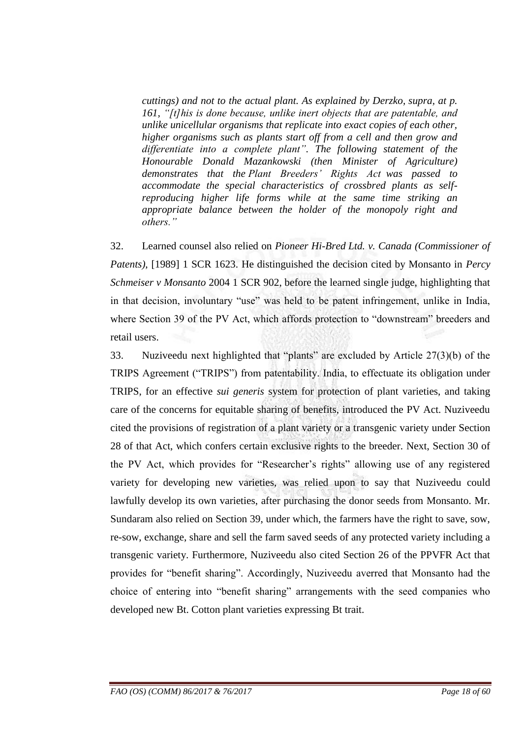*cuttings) and not to the actual plant. As explained by Derzko, supra, at p.*  161, "[t]his is done because, unlike inert objects that are patentable, and *unlike unicellular organisms that replicate into exact copies of each other, higher organisms such as plants start off from a cell and then grow and*  differentiate into a complete plant". The following statement of the *Honourable Donald Mazankowski (then Minister of Agriculture) demonstrates that the Plant Breeders' Rights Act was passed to accommodate the special characteristics of crossbred plants as selfreproducing higher life forms while at the same time striking an appropriate balance between the holder of the monopoly right and others.‖*

32. Learned counsel also relied on *Pioneer Hi-Bred Ltd. v. Canada (Commissioner of Patents)*, [1989] 1 SCR 1623. He distinguished the decision cited by Monsanto in *Percy Schmeiser v Monsanto* 2004 1 SCR 902, before the learned single judge, highlighting that in that decision, involuntary "use" was held to be patent infringement, unlike in India, where Section 39 of the PV Act, which affords protection to "downstream" breeders and retail users.

33. Nuziveedu next highlighted that "plants" are excluded by Article 27(3)(b) of the TRIPS Agreement ("TRIPS") from patentability. India, to effectuate its obligation under TRIPS, for an effective *sui generis* system for protection of plant varieties, and taking care of the concerns for equitable sharing of benefits, introduced the PV Act. Nuziveedu cited the provisions of registration of a plant variety or a transgenic variety under Section 28 of that Act, which confers certain exclusive rights to the breeder. Next, Section 30 of the PV Act, which provides for "Researcher"s rights" allowing use of any registered variety for developing new varieties, was relied upon to say that Nuziveedu could lawfully develop its own varieties, after purchasing the donor seeds from Monsanto. Mr. Sundaram also relied on Section 39, under which, the farmers have the right to save, sow, re-sow, exchange, share and sell the farm saved seeds of any protected variety including a transgenic variety. Furthermore, Nuziveedu also cited Section 26 of the PPVFR Act that provides for "benefit sharing". Accordingly, Nuziveedu averred that Monsanto had the choice of entering into "benefit sharing" arrangements with the seed companies who developed new Bt. Cotton plant varieties expressing Bt trait.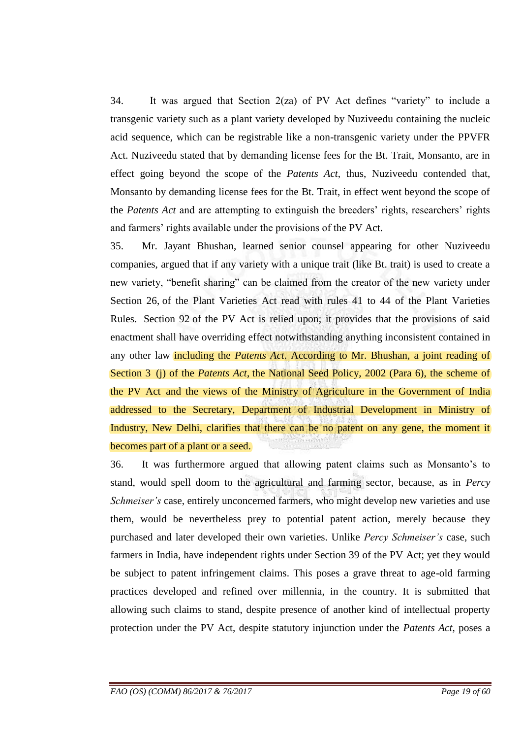34. It was argued that Section 2(za) of PV Act defines "variety" to include a transgenic variety such as a plant variety developed by Nuziveedu containing the nucleic acid sequence, which can be registrable like a non-transgenic variety under the PPVFR Act. Nuziveedu stated that by demanding license fees for the Bt. Trait, Monsanto, are in effect going beyond the scope of the *Patents Act*, thus, Nuziveedu contended that, Monsanto by demanding license fees for the Bt. Trait, in effect went beyond the scope of the *Patents Act* and are attempting to extinguish the breeders' rights, researchers' rights and farmers' rights available under the provisions of the PV Act.

35. Mr. Jayant Bhushan, learned senior counsel appearing for other Nuziveedu companies, argued that if any variety with a unique trait (like Bt. trait) is used to create a new variety, "benefit sharing" can be claimed from the creator of the new variety under Section 26, of the Plant Varieties Act read with rules 41 to 44 of the Plant Varieties Rules. Section 92 of the PV Act is relied upon; it provides that the provisions of said enactment shall have overriding effect notwithstanding anything inconsistent contained in any other law including the *Patents Act*. According to Mr. Bhushan, a joint reading of Section 3 (j) of the *Patents Act*, the National Seed Policy, 2002 (Para 6), the scheme of the PV Act and the views of the Ministry of Agriculture in the Government of India addressed to the Secretary, Department of Industrial Development in Ministry of Industry, New Delhi, clarifies that there can be no patent on any gene, the moment it becomes part of a plant or a seed.

36. It was furthermore argued that allowing patent claims such as Monsanto"s to stand, would spell doom to the agricultural and farming sector, because, as in *Percy Schmeiser's* case, entirely unconcerned farmers, who might develop new varieties and use them, would be nevertheless prey to potential patent action, merely because they purchased and later developed their own varieties. Unlike *Percy Schmeiser's* case, such farmers in India, have independent rights under Section 39 of the PV Act; yet they would be subject to patent infringement claims. This poses a grave threat to age-old farming practices developed and refined over millennia, in the country. It is submitted that allowing such claims to stand, despite presence of another kind of intellectual property protection under the PV Act, despite statutory injunction under the *Patents Act*, poses a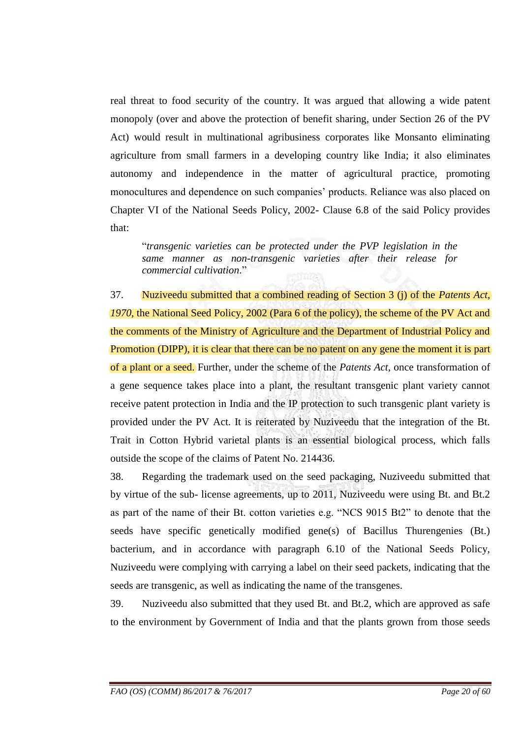real threat to food security of the country. It was argued that allowing a wide patent monopoly (over and above the protection of benefit sharing, under Section 26 of the PV Act) would result in multinational agribusiness corporates like Monsanto eliminating agriculture from small farmers in a developing country like India; it also eliminates autonomy and independence in the matter of agricultural practice, promoting monocultures and dependence on such companies' products. Reliance was also placed on Chapter VI of the National Seeds Policy, 2002- Clause 6.8 of the said Policy provides that:

"*transgenic varieties can be protected under the PVP legislation in the same manner as non-transgenic varieties after their release for commercial cultivation*."

37. Nuziveedu submitted that a combined reading of Section 3 (j) of the *Patents Act, 1970*, the National Seed Policy, 2002 (Para 6 of the policy), the scheme of the PV Act and the comments of the Ministry of Agriculture and the Department of Industrial Policy and Promotion (DIPP), it is clear that there can be no patent on any gene the moment it is part of a plant or a seed. Further, under the scheme of the *Patents Act*, once transformation of a gene sequence takes place into a plant, the resultant transgenic plant variety cannot receive patent protection in India and the IP protection to such transgenic plant variety is provided under the PV Act. It is reiterated by Nuziveedu that the integration of the Bt. Trait in Cotton Hybrid varietal plants is an essential biological process, which falls outside the scope of the claims of Patent No. 214436.

38. Regarding the trademark used on the seed packaging, Nuziveedu submitted that by virtue of the sub- license agreements, up to 2011, Nuziveedu were using Bt. and Bt.2 as part of the name of their Bt. cotton varieties e.g. "NCS 9015 Bt2" to denote that the seeds have specific genetically modified gene(s) of Bacillus Thurengenies (Bt.) bacterium, and in accordance with paragraph 6.10 of the National Seeds Policy, Nuziveedu were complying with carrying a label on their seed packets, indicating that the seeds are transgenic, as well as indicating the name of the transgenes.

39. Nuziveedu also submitted that they used Bt. and Bt.2, which are approved as safe to the environment by Government of India and that the plants grown from those seeds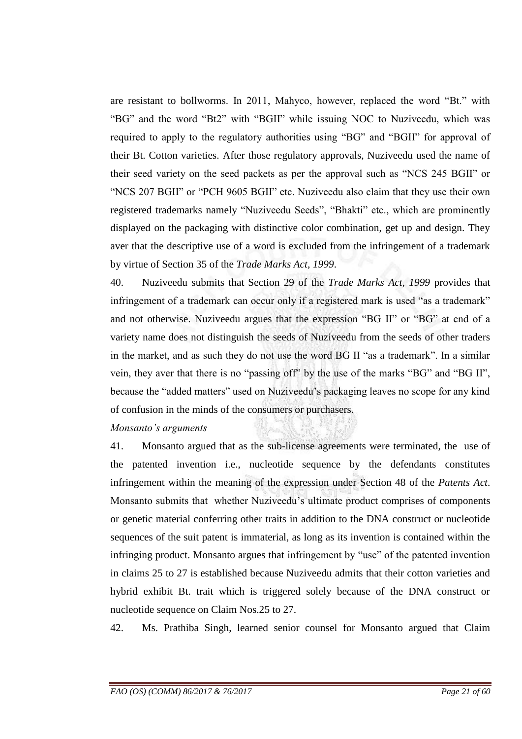are resistant to bollworms. In 2011, Mahyco, however, replaced the word "Bt." with "BG" and the word "Bt2" with "BGII" while issuing NOC to Nuziveedu, which was required to apply to the regulatory authorities using "BG" and "BGII" for approval of their Bt. Cotton varieties. After those regulatory approvals, Nuziveedu used the name of their seed variety on the seed packets as per the approval such as "NCS 245 BGII" or "NCS 207 BGII" or "PCH 9605 BGII" etc. Nuziveedu also claim that they use their own registered trademarks namely "Nuziveedu Seeds", "Bhakti" etc., which are prominently displayed on the packaging with distinctive color combination, get up and design. They aver that the descriptive use of a word is excluded from the infringement of a trademark by virtue of Section 35 of the *Trade Marks Act, 1999*.

40. Nuziveedu submits that Section 29 of the *Trade Marks Act, 1999* provides that infringement of a trademark can occur only if a registered mark is used "as a trademark" and not otherwise. Nuziveedu argues that the expression "BG II" or "BG" at end of a variety name does not distinguish the seeds of Nuziveedu from the seeds of other traders in the market, and as such they do not use the word BG II "as a trademark". In a similar vein, they aver that there is no "passing off" by the use of the marks "BG" and "BG II", because the "added matters" used on Nuziveedu"s packaging leaves no scope for any kind of confusion in the minds of the consumers or purchasers.

### *Monsanto's arguments*

41. Monsanto argued that as the sub-license agreements were terminated, the use of the patented invention i.e., nucleotide sequence by the defendants constitutes infringement within the meaning of the expression under Section 48 of the *Patents Act*. Monsanto submits that whether Nuziveedu"s ultimate product comprises of components or genetic material conferring other traits in addition to the DNA construct or nucleotide sequences of the suit patent is immaterial, as long as its invention is contained within the infringing product. Monsanto argues that infringement by "use" of the patented invention in claims 25 to 27 is established because Nuziveedu admits that their cotton varieties and hybrid exhibit Bt. trait which is triggered solely because of the DNA construct or nucleotide sequence on Claim Nos.25 to 27.

42. Ms. Prathiba Singh, learned senior counsel for Monsanto argued that Claim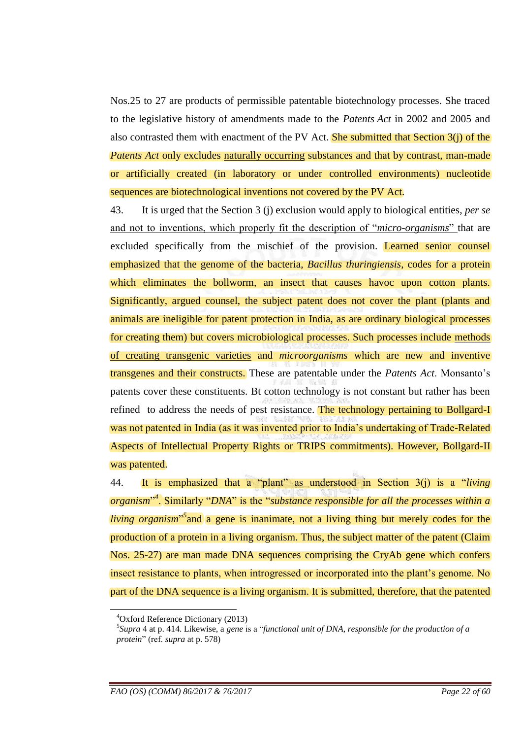Nos.25 to 27 are products of permissible patentable biotechnology processes. She traced to the legislative history of amendments made to the *Patents Act* in 2002 and 2005 and also contrasted them with enactment of the PV Act. She submitted that Section 3(j) of the *Patents Act* only excludes naturally occurring substances and that by contrast, man-made or artificially created (in laboratory or under controlled environments) nucleotide sequences are biotechnological inventions not covered by the PV Act.

43. It is urged that the Section 3 (j) exclusion would apply to biological entities, *per se* and not to inventions, which properly fit the description of "*micro-organisms*" that are excluded specifically from the mischief of the provision. Learned senior counsel emphasized that the genome of the bacteria, *Bacillus thuringiensis*, codes for a protein which eliminates the bollworm, an insect that causes havoc upon cotton plants. Significantly, argued counsel, the subject patent does not cover the plant (plants and animals are ineligible for patent protection in India, as are ordinary biological processes for creating them) but covers microbiological processes. Such processes include methods of creating transgenic varieties and *microorganisms* which are new and inventive transgenes and their constructs. These are patentable under the *Patents Act*. Monsanto"s patents cover these constituents. Bt cotton technology is not constant but rather has been refined to address the needs of pest resistance. The technology pertaining to Bollgard-I was not patented in India (as it was invented prior to India"s undertaking of Trade-Related Aspects of Intellectual Property Rights or TRIPS commitments). However, Bollgard-II was patented.

44. It is emphasized that a "plant" as understood in Section 3(j) is a "*living organism*" *4* . Similarly "*DNA*" is the "*substance responsible for all the processes within a living organism*<sup>35</sup> and a gene is inanimate, not a living thing but merely codes for the production of a protein in a living organism. Thus, the subject matter of the patent (Claim Nos. 25-27) are man made DNA sequences comprising the CryAb gene which confers insect resistance to plants, when introgressed or incorporated into the plant's genome. No part of the DNA sequence is a living organism. It is submitted, therefore, that the patented

<u>.</u>

<sup>4</sup>Oxford Reference Dictionary (2013)

<sup>5</sup> *Supra* 4 at p. 414. Likewise, a *gene* is a "*functional unit of DNA, responsible for the production of a protein*" (ref. *supra* at p. 578)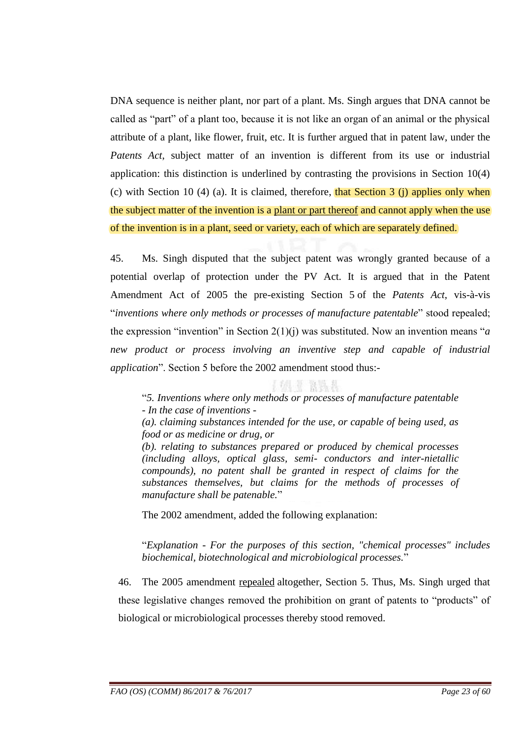DNA sequence is neither plant, nor part of a plant. Ms. Singh argues that DNA cannot be called as "part" of a plant too, because it is not like an organ of an animal or the physical attribute of a plant, like flower, fruit, etc. It is further argued that in patent law, under the *Patents Act*, subject matter of an invention is different from its use or industrial application: this distinction is underlined by contrasting the provisions in Section 10(4) (c) with Section 10 (4) (a). It is claimed, therefore, that Section 3 (j) applies only when the subject matter of the invention is a plant or part thereof and cannot apply when the use of the invention is in a plant, seed or variety, each of which are separately defined.

45. Ms. Singh disputed that the subject patent was wrongly granted because of a potential overlap of protection under the PV Act. It is argued that in the Patent Amendment Act of 2005 the pre-existing Section 5 of the *Patents Act*, vis-à-vis "*inventions where only methods or processes of manufacture patentable*" stood repealed; the expression "invention" in Section 2(1)(j) was substituted. Now an invention means "*a new product or process involving an inventive step and capable of industrial application*". Section 5 before the 2002 amendment stood thus:-

上方 计 發言器

"*5. Inventions where only methods or processes of manufacture patentable - In the case of inventions -*

*(a). claiming substances intended for the use, or capable of being used, as food or as medicine or drug, or*

*(b). relating to substances prepared or produced by chemical processes (including alloys, optical glass, semi- conductors and inter-nietallic compounds), no patent shall be granted in respect of claims for the substances themselves, but claims for the methods of processes of manufacture shall be patenable.*"

The 2002 amendment, added the following explanation:

"*Explanation - For the purposes of this section, "chemical processes" includes biochemical, biotechnological and microbiological processes.*"

46. The 2005 amendment repealed altogether, Section 5. Thus, Ms. Singh urged that these legislative changes removed the prohibition on grant of patents to "products" of biological or microbiological processes thereby stood removed.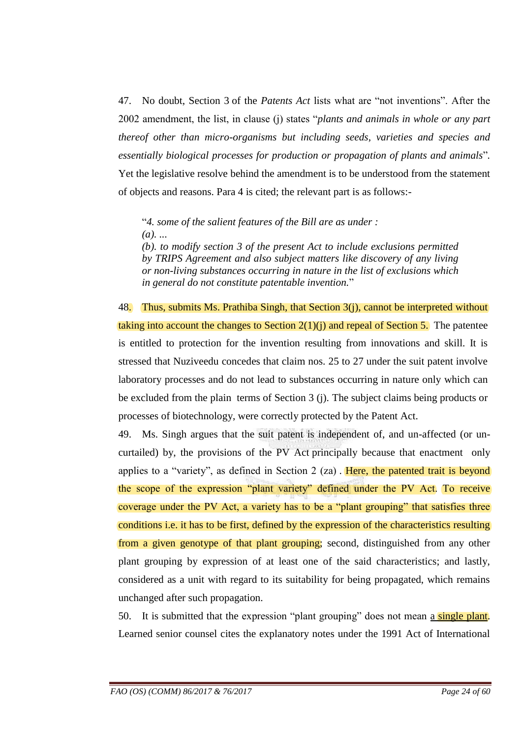47. No doubt, Section 3 of the *Patents Act* lists what are "not inventions". After the 2002 amendment, the list, in clause (j) states "*plants and animals in whole or any part thereof other than micro-organisms but including seeds, varieties and species and essentially biological processes for production or propagation of plants and animals*"*.*  Yet the legislative resolve behind the amendment is to be understood from the statement of objects and reasons. Para 4 is cited; the relevant part is as follows:-

"*4. some of the salient features of the Bill are as under : (a). ...*

*(b). to modify section 3 of the present Act to include exclusions permitted by TRIPS Agreement and also subject matters like discovery of any living or non-living substances occurring in nature in the list of exclusions which in general do not constitute patentable invention.*"

48. Thus, submits Ms. Prathiba Singh, that Section  $3(j)$ , cannot be interpreted without taking into account the changes to Section  $2(1)(j)$  and repeal of Section 5. The patentee is entitled to protection for the invention resulting from innovations and skill. It is stressed that Nuziveedu concedes that claim nos. 25 to 27 under the suit patent involve laboratory processes and do not lead to substances occurring in nature only which can be excluded from the plain terms of Section 3 (j). The subject claims being products or processes of biotechnology, were correctly protected by the Patent Act.

49. Ms. Singh argues that the suit patent is independent of, and un-affected (or uncurtailed) by, the provisions of the PV Act principally because that enactment only applies to a "variety", as defined in Section 2 (za) . Here, the patented trait is beyond the scope of the expression "plant variety" defined under the PV Act. To receive coverage under the PV Act, a variety has to be a "plant grouping" that satisfies three conditions i.e. it has to be first, defined by the expression of the characteristics resulting from a given genotype of that plant grouping; second, distinguished from any other plant grouping by expression of at least one of the said characteristics; and lastly, considered as a unit with regard to its suitability for being propagated, which remains unchanged after such propagation.

50. It is submitted that the expression "plant grouping" does not mean a single plant. Learned senior counsel cites the explanatory notes under the 1991 Act of International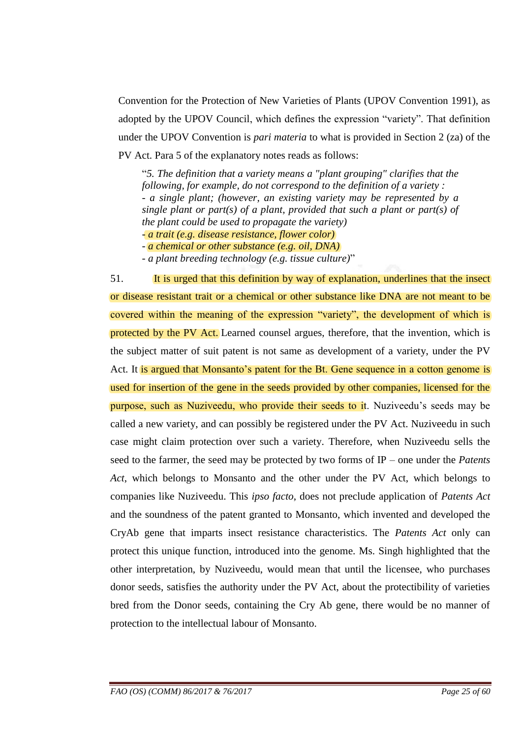Convention for the Protection of New Varieties of Plants (UPOV Convention 1991), as adopted by the UPOV Council, which defines the expression "variety". That definition under the UPOV Convention is *pari materia* to what is provided in Section 2 (za) of the PV Act. Para 5 of the explanatory notes reads as follows:

"*5. The definition that a variety means a "plant grouping" clarifies that the following, for example, do not correspond to the definition of a variety : - a single plant; (however, an existing variety may be represented by a single plant or part(s) of a plant, provided that such a plant or part(s) of the plant could be used to propagate the variety)*

*- a trait (e.g. disease resistance, flower color)*

*- a chemical or other substance (e.g. oil, DNA)*

*- a plant breeding technology (e.g. tissue culture)*"

51. It is urged that this definition by way of explanation, underlines that the insect or disease resistant trait or a chemical or other substance like DNA are not meant to be covered within the meaning of the expression "variety", the development of which is protected by the PV Act. Learned counsel argues, therefore, that the invention, which is the subject matter of suit patent is not same as development of a variety, under the PV Act. It is argued that Monsanto's patent for the Bt. Gene sequence in a cotton genome is used for insertion of the gene in the seeds provided by other companies, licensed for the purpose, such as Nuziveedu, who provide their seeds to it. Nuziveedu"s seeds may be called a new variety, and can possibly be registered under the PV Act. Nuziveedu in such case might claim protection over such a variety. Therefore, when Nuziveedu sells the seed to the farmer, the seed may be protected by two forms of IP – one under the *Patents Act*, which belongs to Monsanto and the other under the PV Act, which belongs to companies like Nuziveedu. This *ipso facto*, does not preclude application of *Patents Act* and the soundness of the patent granted to Monsanto, which invented and developed the CryAb gene that imparts insect resistance characteristics. The *Patents Act* only can protect this unique function, introduced into the genome. Ms. Singh highlighted that the other interpretation, by Nuziveedu, would mean that until the licensee, who purchases donor seeds, satisfies the authority under the PV Act, about the protectibility of varieties bred from the Donor seeds, containing the Cry Ab gene, there would be no manner of protection to the intellectual labour of Monsanto.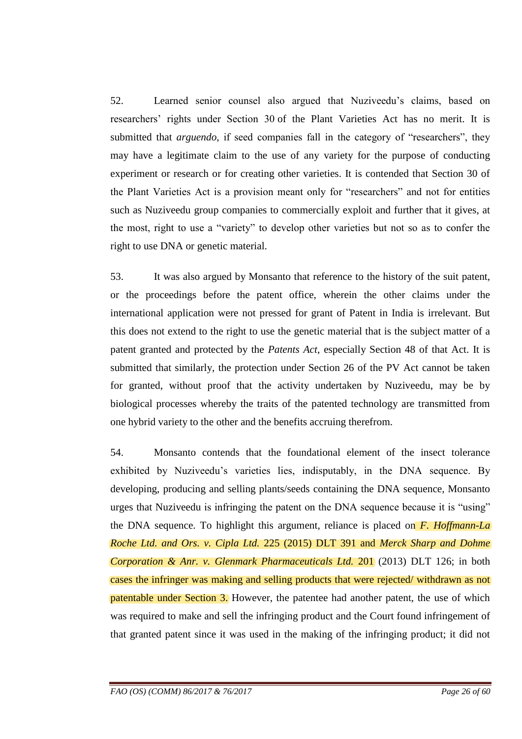52. Learned senior counsel also argued that Nuziveedu"s claims, based on researchers" rights under Section 30 of the Plant Varieties Act has no merit. It is submitted that *arguendo*, if seed companies fall in the category of "researchers", they may have a legitimate claim to the use of any variety for the purpose of conducting experiment or research or for creating other varieties. It is contended that Section 30 of the Plant Varieties Act is a provision meant only for "researchers" and not for entities such as Nuziveedu group companies to commercially exploit and further that it gives, at the most, right to use a "variety" to develop other varieties but not so as to confer the right to use DNA or genetic material.

53. It was also argued by Monsanto that reference to the history of the suit patent, or the proceedings before the patent office, wherein the other claims under the international application were not pressed for grant of Patent in India is irrelevant. But this does not extend to the right to use the genetic material that is the subject matter of a patent granted and protected by the *Patents Act*, especially Section 48 of that Act. It is submitted that similarly, the protection under Section 26 of the PV Act cannot be taken for granted, without proof that the activity undertaken by Nuziveedu, may be by biological processes whereby the traits of the patented technology are transmitted from one hybrid variety to the other and the benefits accruing therefrom.

54. Monsanto contends that the foundational element of the insect tolerance exhibited by Nuziveedu"s varieties lies, indisputably, in the DNA sequence. By developing, producing and selling plants/seeds containing the DNA sequence, Monsanto urges that Nuziveedu is infringing the patent on the DNA sequence because it is "using" the DNA sequence. To highlight this argument, reliance is placed on *F. Hoffmann-La Roche Ltd. and Ors. v. Cipla Ltd.* 225 (2015) DLT 391 and *Merck Sharp and Dohme Corporation & Anr. v. Glenmark Pharmaceuticals Ltd.* 201 (2013) DLT 126; in both cases the infringer was making and selling products that were rejected/ withdrawn as not patentable under Section 3. However, the patentee had another patent, the use of which was required to make and sell the infringing product and the Court found infringement of that granted patent since it was used in the making of the infringing product; it did not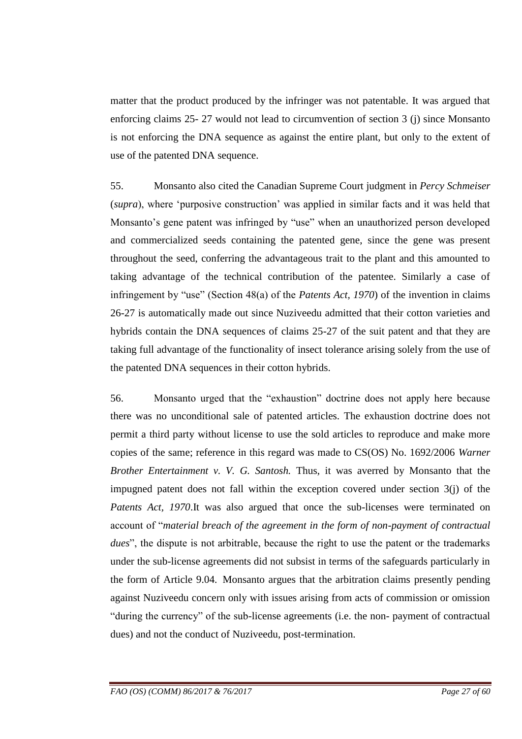matter that the product produced by the infringer was not patentable. It was argued that enforcing claims 25- 27 would not lead to circumvention of section 3 (j) since Monsanto is not enforcing the DNA sequence as against the entire plant, but only to the extent of use of the patented DNA sequence.

55. Monsanto also cited the Canadian Supreme Court judgment in *Percy Schmeiser* (*supra*), where "purposive construction" was applied in similar facts and it was held that Monsanto's gene patent was infringed by "use" when an unauthorized person developed and commercialized seeds containing the patented gene, since the gene was present throughout the seed, conferring the advantageous trait to the plant and this amounted to taking advantage of the technical contribution of the patentee. Similarly a case of infringement by "use" (Section 48(a) of the *Patents Act, 1970*) of the invention in claims 26-27 is automatically made out since Nuziveedu admitted that their cotton varieties and hybrids contain the DNA sequences of claims 25-27 of the suit patent and that they are taking full advantage of the functionality of insect tolerance arising solely from the use of the patented DNA sequences in their cotton hybrids.

56. Monsanto urged that the "exhaustion" doctrine does not apply here because there was no unconditional sale of patented articles. The exhaustion doctrine does not permit a third party without license to use the sold articles to reproduce and make more copies of the same; reference in this regard was made to CS(OS) No. 1692/2006 *Warner Brother Entertainment v. V. G. Santosh.* Thus, it was averred by Monsanto that the impugned patent does not fall within the exception covered under section 3(j) of the *Patents Act, 1970*.It was also argued that once the sub-licenses were terminated on account of "*material breach of the agreement in the form of non-payment of contractual dues*", the dispute is not arbitrable, because the right to use the patent or the trademarks under the sub-license agreements did not subsist in terms of the safeguards particularly in the form of Article 9.04. Monsanto argues that the arbitration claims presently pending against Nuziveedu concern only with issues arising from acts of commission or omission "during the currency" of the sub-license agreements (i.e. the non- payment of contractual dues) and not the conduct of Nuziveedu, post-termination.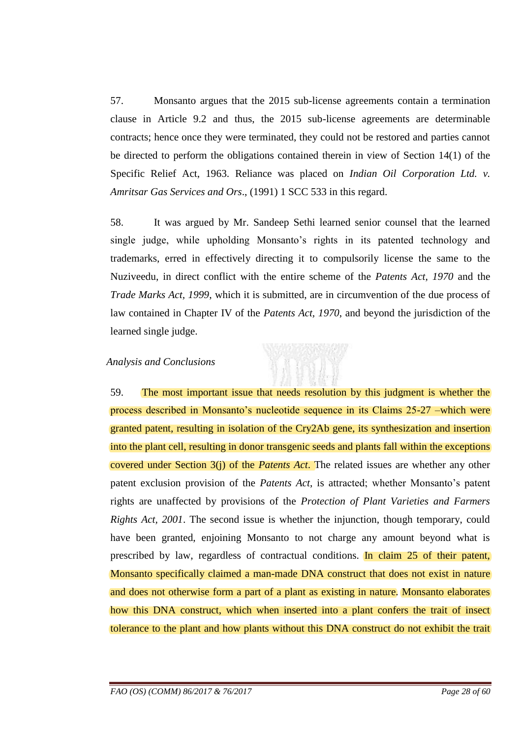57. Monsanto argues that the 2015 sub-license agreements contain a termination clause in Article 9.2 and thus, the 2015 sub-license agreements are determinable contracts; hence once they were terminated, they could not be restored and parties cannot be directed to perform the obligations contained therein in view of Section 14(1) of the Specific Relief Act, 1963. Reliance was placed on *Indian Oil Corporation Ltd. v. Amritsar Gas Services and Ors*., (1991) 1 SCC 533 in this regard.

58. It was argued by Mr. Sandeep Sethi learned senior counsel that the learned single judge, while upholding Monsanto's rights in its patented technology and trademarks, erred in effectively directing it to compulsorily license the same to the Nuziveedu, in direct conflict with the entire scheme of the *Patents Act, 1970* and the *Trade Marks Act, 1999*, which it is submitted, are in circumvention of the due process of law contained in Chapter IV of the *Patents Act, 1970*, and beyond the jurisdiction of the learned single judge.

#### *Analysis and Conclusions*

59. The most important issue that needs resolution by this judgment is whether the process described in Monsanto"s nucleotide sequence in its Claims 25-27 –which were granted patent, resulting in isolation of the Cry2Ab gene, its synthesization and insertion into the plant cell, resulting in donor transgenic seeds and plants fall within the exceptions covered under Section 3(j) of the *Patents Act*. The related issues are whether any other patent exclusion provision of the *Patents Act*, is attracted; whether Monsanto's patent rights are unaffected by provisions of the *Protection of Plant Varieties and Farmers Rights Act, 2001*. The second issue is whether the injunction, though temporary, could have been granted, enjoining Monsanto to not charge any amount beyond what is prescribed by law, regardless of contractual conditions. In claim 25 of their patent, Monsanto specifically claimed a man-made DNA construct that does not exist in nature and does not otherwise form a part of a plant as existing in nature. Monsanto elaborates how this DNA construct, which when inserted into a plant confers the trait of insect tolerance to the plant and how plants without this DNA construct do not exhibit the trait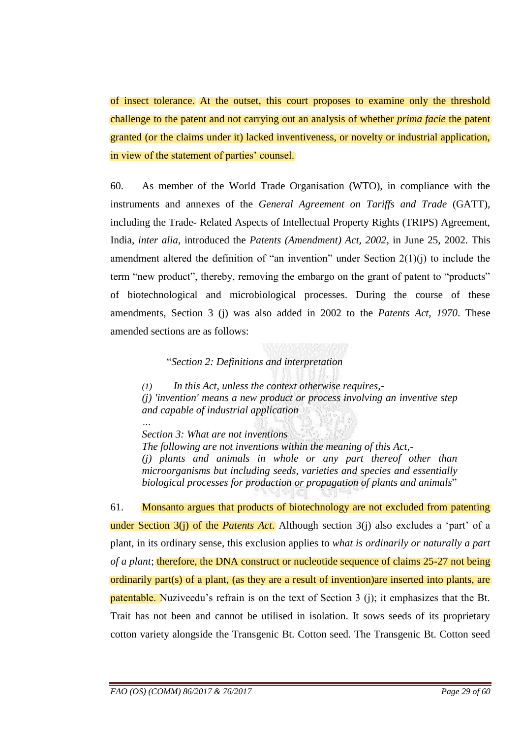of insect tolerance. At the outset, this court proposes to examine only the threshold challenge to the patent and not carrying out an analysis of whether *prima facie* the patent granted (or the claims under it) lacked inventiveness, or novelty or industrial application, in view of the statement of parties' counsel.

60. As member of the World Trade Organisation (WTO), in compliance with the instruments and annexes of the *General Agreement on Tariffs and Trade* (GATT), including the Trade- Related Aspects of Intellectual Property Rights (TRIPS) Agreement, India, *inter alia*, introduced the *Patents (Amendment) Act, 2002*, in June 25, 2002. This amendment altered the definition of "an invention" under Section  $2(1)(i)$  to include the term "new product", thereby, removing the embargo on the grant of patent to "products" of biotechnological and microbiological processes. During the course of these amendments, Section 3 (j) was also added in 2002 to the *Patents Act, 1970*. These amended sections are as follows:

"*Section 2: Definitions and interpretation*

*(1) In this Act, unless the context otherwise requires,- (j) 'invention' means a new product or process involving an inventive step and capable of industrial application*

*… Section 3: What are not inventions The following are not inventions within the meaning of this Act,- (j) plants and animals in whole or any part thereof other than microorganisms but including seeds, varieties and species and essentially biological processes for production or propagation of plants and animals*"

61. Monsanto argues that products of biotechnology are not excluded from patenting under Section 3(j) of the *Patents Act*. Although section 3(j) also excludes a 'part' of a plant, in its ordinary sense, this exclusion applies to *what is ordinarily or naturally a part of a plant*; therefore, the DNA construct or nucleotide sequence of claims 25-27 not being ordinarily part(s) of a plant, (as they are a result of invention)are inserted into plants, are **patentable.** Nuziveedu's refrain is on the text of Section 3 (j); it emphasizes that the Bt. Trait has not been and cannot be utilised in isolation. It sows seeds of its proprietary cotton variety alongside the Transgenic Bt. Cotton seed. The Transgenic Bt. Cotton seed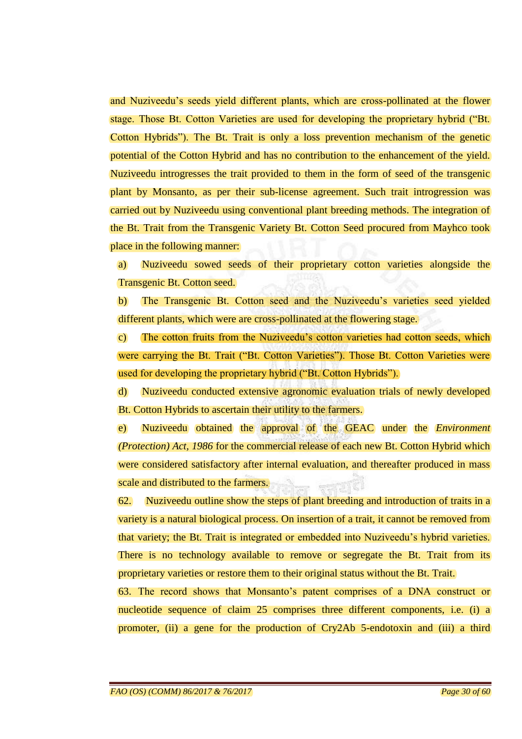and Nuziveedu"s seeds yield different plants, which are cross-pollinated at the flower stage. Those Bt. Cotton Varieties are used for developing the proprietary hybrid ("Bt. Cotton Hybrids"). The Bt. Trait is only a loss prevention mechanism of the genetic potential of the Cotton Hybrid and has no contribution to the enhancement of the yield. Nuziveedu introgresses the trait provided to them in the form of seed of the transgenic plant by Monsanto, as per their sub-license agreement. Such trait introgression was carried out by Nuziveedu using conventional plant breeding methods. The integration of the Bt. Trait from the Transgenic Variety Bt. Cotton Seed procured from Mayhco took place in the following manner:

a) Nuziveedu sowed seeds of their proprietary cotton varieties alongside the Transgenic Bt. Cotton seed.

b) The Transgenic Bt. Cotton seed and the Nuziveedu"s varieties seed yielded different plants, which were are cross-pollinated at the flowering stage.

c) The cotton fruits from the Nuziveedu"s cotton varieties had cotton seeds, which were carrying the Bt. Trait ("Bt. Cotton Varieties"). Those Bt. Cotton Varieties were used for developing the proprietary hybrid ("Bt. Cotton Hybrids").

d) Nuziveedu conducted extensive agronomic evaluation trials of newly developed Bt. Cotton Hybrids to ascertain their utility to the farmers.

e) Nuziveedu obtained the approval of the GEAC under the *Environment (Protection) Act, 1986* for the commercial release of each new Bt. Cotton Hybrid which were considered satisfactory after internal evaluation, and thereafter produced in mass scale and distributed to the farmers.

62. Nuziveedu outline show the steps of plant breeding and introduction of traits in a variety is a natural biological process. On insertion of a trait, it cannot be removed from that variety; the Bt. Trait is integrated or embedded into Nuziveedu"s hybrid varieties. There is no technology available to remove or segregate the Bt. Trait from its proprietary varieties or restore them to their original status without the Bt. Trait.

63. The record shows that Monsanto"s patent comprises of a DNA construct or nucleotide sequence of claim 25 comprises three different components, i.e. (i) a promoter, (ii) a gene for the production of Cry2Ab 5-endotoxin and (iii) a third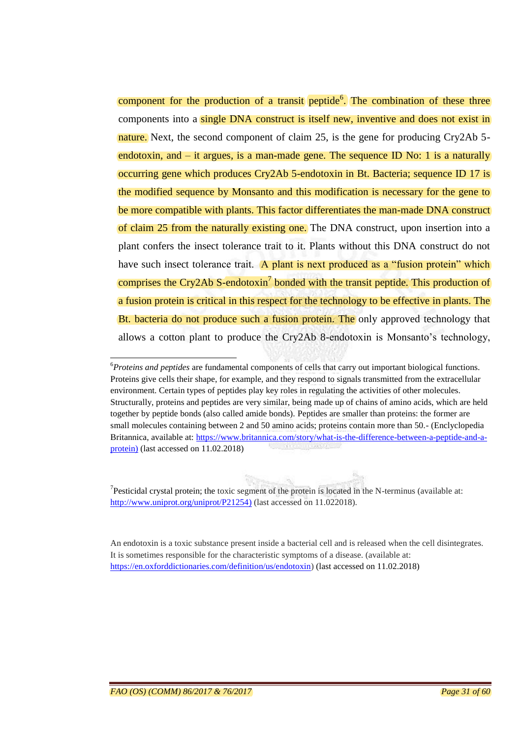component for the production of a transit peptide<sup>6</sup>. The combination of these three components into a single DNA construct is itself new, inventive and does not exist in nature. Next, the second component of claim 25, is the gene for producing Cry2Ab 5endotoxin, and – it argues, is a man-made gene. The sequence ID No: 1 is a naturally occurring gene which produces Cry2Ab 5-endotoxin in Bt. Bacteria; sequence ID 17 is the modified sequence by Monsanto and this modification is necessary for the gene to be more compatible with plants. This factor differentiates the man-made DNA construct of claim 25 from the naturally existing one. The DNA construct, upon insertion into a plant confers the insect tolerance trait to it. Plants without this DNA construct do not have such insect tolerance trait. A plant is next produced as a "fusion protein" which comprises the Cry2Ab S-endotoxin<sup>7</sup> bonded with the transit peptide. This production of a fusion protein is critical in this respect for the technology to be effective in plants. The Bt. bacteria do not produce such a fusion protein. The only approved technology that allows a cotton plant to produce the Cry2Ab 8-endotoxin is Monsanto's technology,

<sup>7</sup>Pesticidal crystal protein; the toxic segment of the protein is located in the N-terminus (available at: [http://www.uniprot.org/uniprot/P21254\)](http://www.uniprot.org/uniprot/P21254) (last accessed on 11.022018).

An endotoxin is a toxic substance present inside a bacterial cell and is released when the cell disintegrates. It is sometimes responsible for the characteristic symptoms of a disease. (available at: [https://en.oxforddictionaries.com/definition/us/endotoxin\)](https://en.oxforddictionaries.com/definition/us/endotoxin) (last accessed on 11.02.2018)

**.** 

<sup>6</sup>*Proteins and peptides* are fundamental components of cells that carry out important biological functions. Proteins give cells their shape, for example, and they respond to signals transmitted from the extracellular environment. Certain types of peptides play key roles in regulating the activities of other molecules. Structurally, proteins and peptides are very similar, being made up of chains of amino acids, which are held together by peptide bonds (also called amide bonds). Peptides are smaller than proteins: the former are small molecules containing between 2 and 50 amino acids; proteins contain more than 50.- (Enclyclopedia Britannica, available at[: https://www.britannica.com/story/what-is-the-difference-between-a-peptide-and-a](https://www.britannica.com/story/what-is-the-difference-between-a-peptide-and-a-protein)[protein\)](https://www.britannica.com/story/what-is-the-difference-between-a-peptide-and-a-protein) (last accessed on 11.02.2018)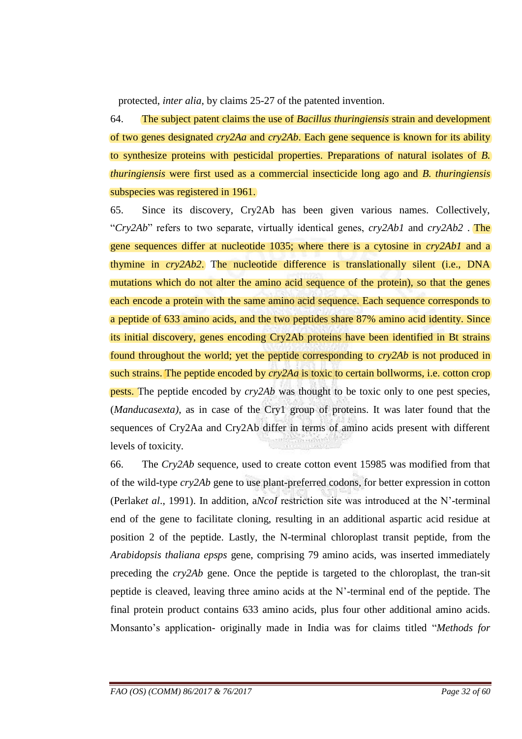protected, *inter alia*, by claims 25-27 of the patented invention.

64. The subject patent claims the use of *Bacillus thuringiensis* strain and development of two genes designated *cry2Aa* and *cry2Ab*. Each gene sequence is known for its ability to synthesize proteins with pesticidal properties. Preparations of natural isolates of *B. thuringiensis* were first used as a commercial insecticide long ago and *B. thuringiensis* subspecies was registered in 1961.

65. Since its discovery, Cry2Ab has been given various names. Collectively, "*Cry2Ab*" refers to two separate, virtually identical genes, *cry2Ab1* and *cry2Ab2* . The gene sequences differ at nucleotide 1035; where there is a cytosine in *cry2Ab1* and a thymine in *cry2Ab2*. The nucleotide difference is translationally silent (i.e., DNA mutations which do not alter the amino acid sequence of the protein), so that the genes each encode a protein with the same amino acid sequence. Each sequence corresponds to a peptide of 633 amino acids, and the two peptides share 87% amino acid identity. Since its initial discovery, genes encoding Cry2Ab proteins have been identified in Bt strains found throughout the world; yet the peptide corresponding to *cry2Ab* is not produced in such strains. The peptide encoded by *cry2Aa* is toxic to certain bollworms, i.e. cotton crop pests. The peptide encoded by *cry2Ab* was thought to be toxic only to one pest species, (*Manducasexta)*, as in case of the Cry1 group of proteins. It was later found that the sequences of Cry2Aa and Cry2Ab differ in terms of amino acids present with different levels of toxicity.

66. The *Cry2Ab* sequence, used to create cotton event 15985 was modified from that of the wild-type *cry2Ab* gene to use plant-preferred codons, for better expression in cotton (Perlak*et al*., 1991). In addition, a*NcoI* restriction site was introduced at the N"-terminal end of the gene to facilitate cloning, resulting in an additional aspartic acid residue at position 2 of the peptide. Lastly, the N-terminal chloroplast transit peptide, from the *Arabidopsis thaliana epsps* gene, comprising 79 amino acids, was inserted immediately preceding the *cry2Ab* gene. Once the peptide is targeted to the chloroplast, the tran-sit peptide is cleaved, leaving three amino acids at the N"-terminal end of the peptide. The final protein product contains 633 amino acids, plus four other additional amino acids. Monsanto"s application- originally made in India was for claims titled "*Methods for*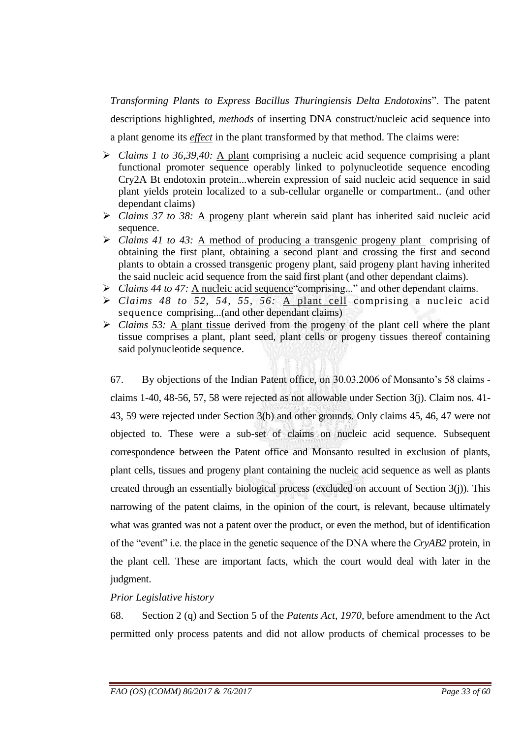*Transforming Plants to Express Bacillus Thuringiensis Delta Endotoxins*". The patent descriptions highlighted, *methods* of inserting DNA construct/nucleic acid sequence into

a plant genome its *effect* in the plant transformed by that method. The claims were:

- *Claims 1 to 36,39,40:* A plant comprising a nucleic acid sequence comprising a plant functional promoter sequence operably linked to polynucleotide sequence encoding Cry2A Bt endotoxin protein...wherein expression of said nucleic acid sequence in said plant yields protein localized to a sub-cellular organelle or compartment.. (and other dependant claims)
- *Claims 37 to 38:* A progeny plant wherein said plant has inherited said nucleic acid sequence.
- *Claims 41 to 43:* A method of producing a transgenic progeny plant comprising of obtaining the first plant, obtaining a second plant and crossing the first and second plants to obtain a crossed transgenic progeny plant, said progeny plant having inherited the said nucleic acid sequence from the said first plant (and other dependant claims).
- *Claims 44 to 47:* A nucleic acid sequence"comprising..." and other dependant claims.
- *Claims 48 to 52, 54, 55, 56:* A plant cell comprising a nucleic acid sequence comprising...(and other dependant claims)
- *Claims 53:* A plant tissue derived from the progeny of the plant cell where the plant tissue comprises a plant, plant seed, plant cells or progeny tissues thereof containing said polynucleotide sequence.

67. By objections of the Indian Patent office, on 30.03.2006 of Monsanto"s 58 claims claims 1-40, 48-56, 57, 58 were rejected as not allowable under Section 3(j). Claim nos. 41- 43, 59 were rejected under Section 3(b) and other grounds. Only claims 45, 46, 47 were not objected to. These were a sub-set of claims on nucleic acid sequence. Subsequent correspondence between the Patent office and Monsanto resulted in exclusion of plants, plant cells, tissues and progeny plant containing the nucleic acid sequence as well as plants created through an essentially biological process (excluded on account of Section 3(j)). This narrowing of the patent claims, in the opinion of the court, is relevant, because ultimately what was granted was not a patent over the product, or even the method, but of identification of the "event" i.e. the place in the genetic sequence of the DNA where the *CryAB2* protein, in the plant cell. These are important facts, which the court would deal with later in the judgment.

## *Prior Legislative history*

68. Section 2 (q) and Section 5 of the *Patents Act, 1970*, before amendment to the Act permitted only process patents and did not allow products of chemical processes to be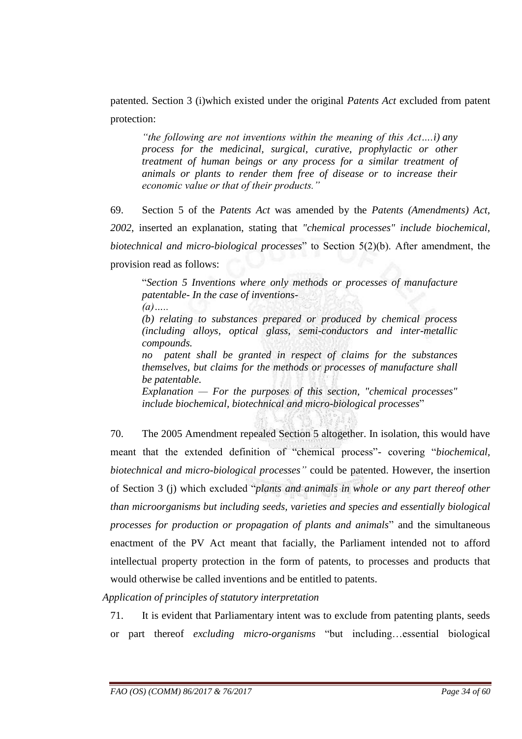patented. Section 3 (i)which existed under the original *Patents Act* excluded from patent protection:

*―the following are not inventions within the meaning of this Act….i) any process for the medicinal, surgical, curative, prophylactic or other treatment of human beings or any process for a similar treatment of animals or plants to render them free of disease or to increase their economic value or that of their products.‖*

69. Section 5 of the *Patents Act* was amended by the *Patents (Amendments) Act, 2002*, inserted an explanation, stating that *"chemical processes" include biochemical, biotechnical and micro-biological processes*" to Section 5(2)(b). After amendment, the provision read as follows:

"*Section 5 Inventions where only methods or processes of manufacture patentable- In the case of inventions- (a)…..*

*(b) relating to substances prepared or produced by chemical process (including alloys, optical glass, semi-conductors and inter-metallic compounds.*

*no patent shall be granted in respect of claims for the substances themselves, but claims for the methods or processes of manufacture shall be patentable.*

*Explanation — For the purposes of this section, "chemical processes" include biochemical, biotechnical and micro-biological processes*"

70. The 2005 Amendment repealed Section 5 altogether. In isolation, this would have meant that the extended definition of "chemical process"- covering "*biochemical, biotechnical and micro-biological processes*" could be patented. However, the insertion of Section 3 (j) which excluded "*plants and animals in whole or any part thereof other than microorganisms but including seeds, varieties and species and essentially biological processes for production or propagation of plants and animals*" and the simultaneous enactment of the PV Act meant that facially, the Parliament intended not to afford intellectual property protection in the form of patents, to processes and products that would otherwise be called inventions and be entitled to patents.

*Application of principles of statutory interpretation* 

71. It is evident that Parliamentary intent was to exclude from patenting plants, seeds or part thereof *excluding micro-organisms* "but including…essential biological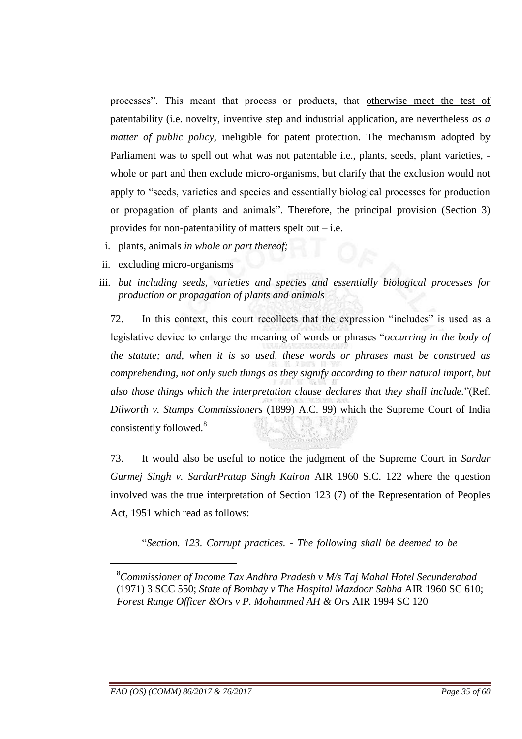processes". This meant that process or products, that otherwise meet the test of patentability (i.e. novelty, inventive step and industrial application, are nevertheless *as a matter of public policy, ineligible for patent protection.* The mechanism adopted by Parliament was to spell out what was not patentable i.e., plants, seeds, plant varieties, whole or part and then exclude micro-organisms, but clarify that the exclusion would not apply to "seeds, varieties and species and essentially biological processes for production or propagation of plants and animals". Therefore, the principal provision (Section 3) provides for non-patentability of matters spelt out – i.e.

- i. plants, animals *in whole or part thereof;*
- ii. excluding micro-organisms
- iii. *but including seeds, varieties and species and essentially biological processes for production or propagation of plants and animals*

72. In this context, this court recollects that the expression "includes" is used as a legislative device to enlarge the meaning of words or phrases "*occurring in the body of the statute; and, when it is so used, these words or phrases must be construed as comprehending, not only such things as they signify according to their natural import, but also those things which the interpretation clause declares that they shall include.*"(Ref. *Dilworth v. Stamps Commissioners* (1899) A.C. 99) which the Supreme Court of India consistently followed.<sup>8</sup>

73. It would also be useful to notice the judgment of the Supreme Court in *Sardar Gurmej Singh v. SardarPratap Singh Kairon* AIR 1960 S.C. 122 where the question involved was the true interpretation of Section 123 (7) of the Representation of Peoples Act, 1951 which read as follows:

"*Section. 123. Corrupt practices. - The following shall be deemed to be* 

-

<sup>8</sup>*Commissioner of Income Tax Andhra Pradesh v M/s Taj Mahal Hotel Secunderabad* (1971) 3 SCC 550; *State of Bombay v The Hospital Mazdoor Sabha* AIR 1960 SC 610; *Forest Range Officer &Ors v P. Mohammed AH & Ors* AIR 1994 SC 120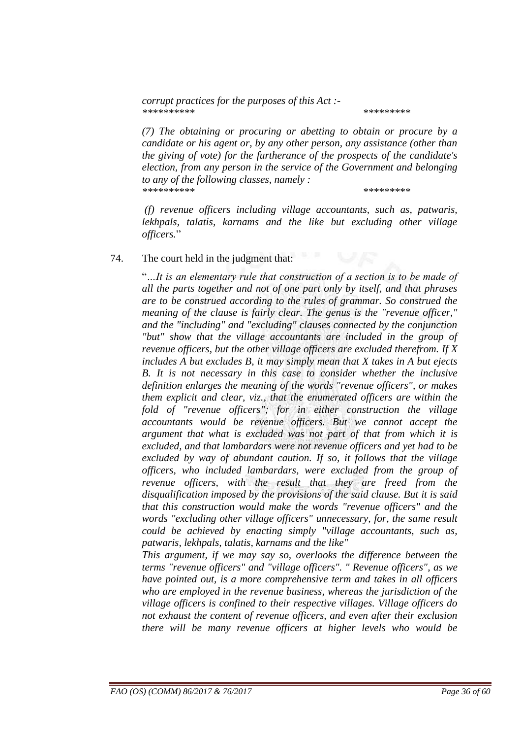*corrupt practices for the purposes of this Act :- \*\*\*\*\*\*\*\*\*\* \*\*\*\*\*\*\*\*\**

*(7) The obtaining or procuring or abetting to obtain or procure by a candidate or his agent or, by any other person, any assistance (other than the giving of vote) for the furtherance of the prospects of the candidate's election, from any person in the service of the Government and belonging to any of the following classes, namely : \*\*\*\*\*\*\*\*\*\* \*\*\*\*\*\*\*\*\**

*(f) revenue officers including village accountants, such as, patwaris, lekhpals, talatis, karnams and the like but excluding other village officers.*"

#### 74. The court held in the judgment that:

"*…It is an elementary rule that construction of a section is to be made of all the parts together and not of one part only by itself, and that phrases are to be construed according to the rules of grammar. So construed the meaning of the clause is fairly clear. The genus is the "revenue officer," and the "including" and "excluding" clauses connected by the conjunction "but" show that the village accountants are included in the group of revenue officers, but the other village officers are excluded therefrom. If X includes A but excludes B, it may simply mean that X takes in A but ejects B. It is not necessary in this case to consider whether the inclusive definition enlarges the meaning of the words "revenue officers", or makes them explicit and clear, viz., that the enumerated officers are within the fold of "revenue officers"; for in either construction the village accountants would be revenue officers. But we cannot accept the argument that what is excluded was not part of that from which it is excluded, and that lambardars were not revenue officers and yet had to be excluded by way of abundant caution. If so, it follows that the village officers, who included lambardars, were excluded from the group of revenue officers, with the result that they are freed from the disqualification imposed by the provisions of the said clause. But it is said that this construction would make the words "revenue officers" and the words "excluding other village officers" unnecessary, for, the same result could be achieved by enacting simply "village accountants, such as, patwaris, lekhpals, talatis, karnams and the like"*

*This argument, if we may say so, overlooks the difference between the terms "revenue officers" and "village officers". " Revenue officers", as we have pointed out, is a more comprehensive term and takes in all officers who are employed in the revenue business, whereas the jurisdiction of the village officers is confined to their respective villages. Village officers do not exhaust the content of revenue officers, and even after their exclusion there will be many revenue officers at higher levels who would be*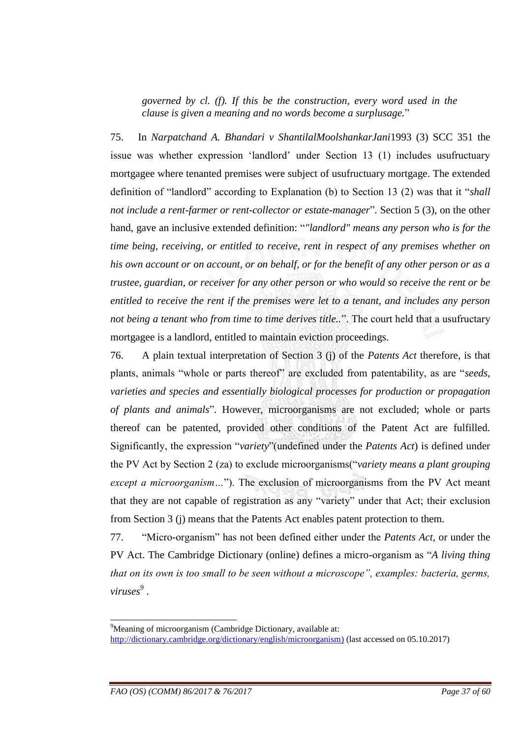*governed by cl. (f). If this be the construction, every word used in the clause is given a meaning and no words become a surplusage.*"

75. In *Narpatchand A. Bhandari v ShantilalMoolshankarJani*1993 (3) SCC 351 the issue was whether expression "landlord" under Section 13 (1) includes usufructuary mortgagee where tenanted premises were subject of usufructuary mortgage. The extended definition of "landlord" according to Explanation (b) to Section 13 (2) was that it "*shall not include a rent-farmer or rent-collector or estate-manager*"*.* Section 5 (3), on the other hand, gave an inclusive extended definition: "*"landlord" means any person who is for the time being, receiving, or entitled to receive, rent in respect of any premises whether on his own account or on account, or on behalf, or for the benefit of any other person or as a trustee, guardian, or receiver for any other person or who would so receive the rent or be entitled to receive the rent if the premises were let to a tenant, and includes any person not being a tenant who from time to time derives title..*". The court held that a usufructary mortgagee is a landlord, entitled to maintain eviction proceedings.

76. A plain textual interpretation of Section 3 (j) of the *Patents Act* therefore, is that plants, animals "whole or parts thereof" are excluded from patentability, as are "*seeds, varieties and species and essentially biological processes for production or propagation of plants and animals*"*.* However, microorganisms are not excluded; whole or parts thereof can be patented, provided other conditions of the Patent Act are fulfilled. Significantly, the expression "*variety*"(undefined under the *Patents Act*) is defined under the PV Act by Section 2 (za) to exclude microorganisms("*variety means a plant grouping except a microorganism…*"). The exclusion of microorganisms from the PV Act meant that they are not capable of registration as any "variety" under that Act; their exclusion from Section 3 (j) means that the Patents Act enables patent protection to them.

77. "Micro-organism" has not been defined either under the *Patents Act*, or under the PV Act. The Cambridge Dictionary (online) defines a micro-organism as "*A living thing that on its own is too small to be seen without a microscope*", *examples: bacteria, germs, viruses<sup>9</sup>* .

<sup>-</sup><sup>9</sup>Meaning of microorganism (Cambridge Dictionary, available at: [http://dictionary.cambridge.org/dictionary/english/microorganism\)](http://dictionary.cambridge.org/dictionary/english/microorganism) (last accessed on 05.10.2017)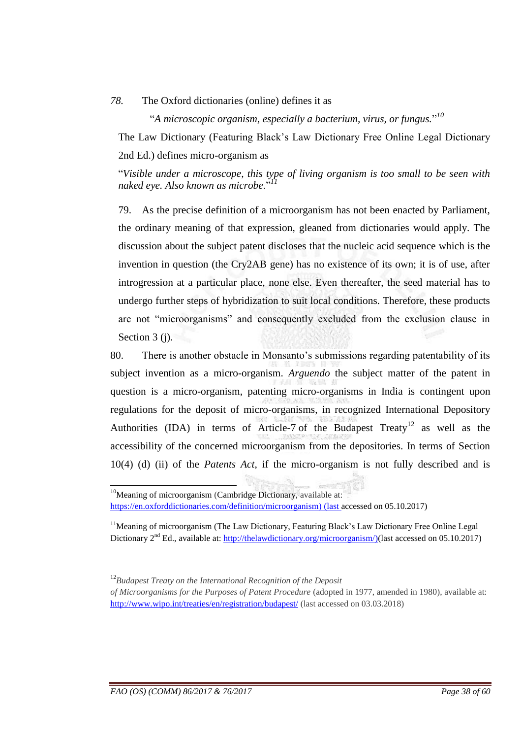#### *78.* The Oxford dictionaries (online) defines it as

"*A microscopic organism, especially a bacterium, virus, or fungus.*" *10*

The Law Dictionary (Featuring Black"s Law Dictionary Free Online Legal Dictionary 2nd Ed.) defines micro-organism as

"*Visible under a microscope, this type of living organism is too small to be seen with naked eye. Also known as microbe*."*<sup>11</sup>*

79. As the precise definition of a microorganism has not been enacted by Parliament, the ordinary meaning of that expression, gleaned from dictionaries would apply. The discussion about the subject patent discloses that the nucleic acid sequence which is the invention in question (the Cry2AB gene) has no existence of its own; it is of use, after introgression at a particular place, none else. Even thereafter, the seed material has to undergo further steps of hybridization to suit local conditions. Therefore, these products are not "microorganisms" and consequently excluded from the exclusion clause in Section 3 (j).

80. There is another obstacle in Monsanto"s submissions regarding patentability of its subject invention as a micro-organism. *Arguendo* the subject matter of the patent in question is a micro-organism, patenting micro-organisms in India is contingent upon regulations for the deposit of micro-organisms, in recognized International Depository Authorities (IDA) in terms of Article-7 of the Budapest Treaty<sup>12</sup> as well as the accessibility of the concerned microorganism from the depositories. In terms of Section 10(4) (d) (ii) of the *Patents Act*, if the micro-organism is not fully described and is

 $\overline{a}$ 

<sup>&</sup>lt;sup>10</sup>Meaning of microorganism (Cambridge Dictionary, available at: [https://en.oxforddictionaries.com/definition/microorganism\)](https://en.oxforddictionaries.com/definition/microorganism) (last accessed on 05.10.2017)

<sup>&</sup>lt;sup>11</sup>Meaning of microorganism (The Law Dictionary, Featuring Black's Law Dictionary Free Online Legal Dictionary 2<sup>nd</sup> Ed., available at: [http://thelawdictionary.org/microorganism/\)](http://thelawdictionary.org/microorganism/)(last accessed on 05.10.2017)

<sup>12</sup>*Budapest Treaty on the International Recognition of the Deposit*

*of Microorganisms for the Purposes of Patent Procedure* (adopted in 1977, amended in 1980), available at: <http://www.wipo.int/treaties/en/registration/budapest/> (last accessed on 03.03.2018)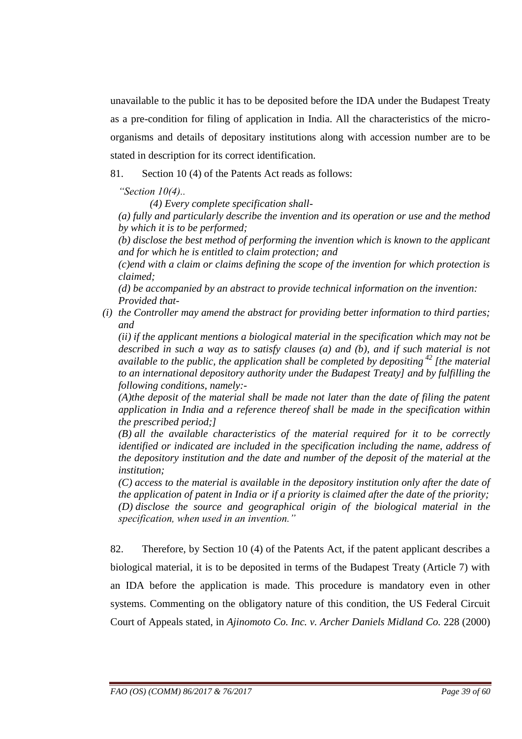unavailable to the public it has to be deposited before the IDA under the Budapest Treaty as a pre-condition for filing of application in India. All the characteristics of the microorganisms and details of depositary institutions along with accession number are to be stated in description for its correct identification.

81. Section 10 (4) of the Patents Act reads as follows:

*―Section 10(4)..*

*(4) Every complete specification shall-*

*(a) fully and particularly describe the invention and its operation or use and the method by which it is to be performed;*

*(b) disclose the best method of performing the invention which is known to the applicant and for which he is entitled to claim protection; and*

*(c)end with a claim or claims defining the scope of the invention for which protection is claimed;*

*(d) be accompanied by an abstract to provide technical information on the invention: Provided that-*

*(i) the Controller may amend the abstract for providing better information to third parties; and*

*(ii) if the applicant mentions a biological material in the specification which may not be described in such a way as to satisfy clauses (a) and (b), and if such material is not available to the public, the application shall be completed by depositing <sup>42</sup> [the material to an international depository authority under the Budapest Treaty] and by fulfilling the following conditions, namely:-*

*(A)the deposit of the material shall be made not later than the date of filing the patent application in India and a reference thereof shall be made in the specification within the prescribed period;]*

*(B) all the available characteristics of the material required for it to be correctly identified or indicated are included in the specification including the name, address of the depository institution and the date and number of the deposit of the material at the institution;*

*(C) access to the material is available in the depository institution only after the date of the application of patent in India or if a priority is claimed after the date of the priority; (D) disclose the source and geographical origin of the biological material in the specification, when used in an invention.‖*

82. Therefore, by Section 10 (4) of the Patents Act, if the patent applicant describes a biological material, it is to be deposited in terms of the Budapest Treaty (Article 7) with an IDA before the application is made. This procedure is mandatory even in other systems. Commenting on the obligatory nature of this condition, the US Federal Circuit Court of Appeals stated, in *Ajinomoto Co. Inc. v. Archer Daniels Midland Co.* 228 (2000)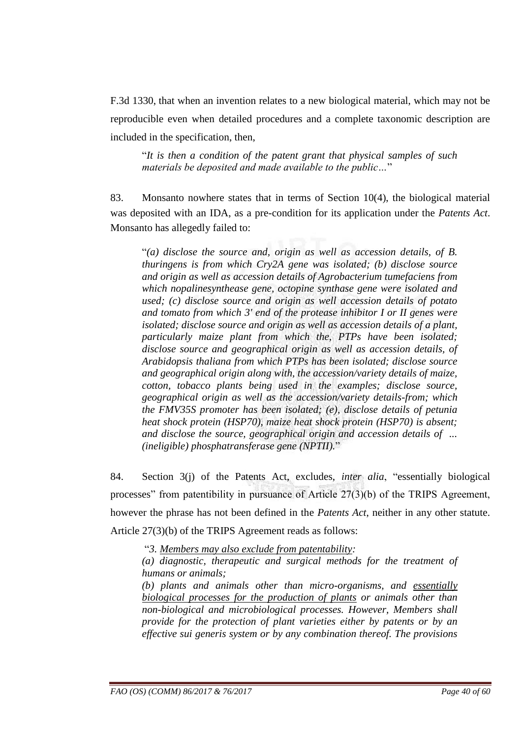F.3d 1330, that when an invention relates to a new biological material, which may not be reproducible even when detailed procedures and a complete taxonomic description are included in the specification, then,

"*It is then a condition of the patent grant that physical samples of such materials be deposited and made available to the public…*"

83. Monsanto nowhere states that in terms of Section 10(4), the biological material was deposited with an IDA, as a pre-condition for its application under the *Patents Act*. Monsanto has allegedly failed to:

"*(a) disclose the source and, origin as well as accession details, of B. thuringens is from which Cry2A gene was isolated; (b) disclose source and origin as well as accession details of Agrobacterium tumefaciens from which nopalinesynthease gene, octopine synthase gene were isolated and used; (c) disclose source and origin as well accession details of potato and tomato from which 3' end of the protease inhibitor I or II genes were isolated; disclose source and origin as well as accession details of a plant, particularly maize plant from which the, PTPs have been isolated; disclose source and geographical origin as well as accession details, of Arabidopsis thaliana from which PTPs has been isolated; disclose source and geographical origin along with, the accession/variety details of maize, cotton, tobacco plants being used in the examples; disclose source, geographical origin as well as the accession/variety details-from; which the FMV35S promoter has been isolated; (e), disclose details of petunia heat shock protein (HSP70), maize heat shock protein (HSP70) is absent; and disclose the source, geographical origin and accession details of ... (ineligible) phosphatransferase gene (NPTII).*"

84. Section 3(j) of the Patents Act, excludes, *inter alia*, "essentially biological processes" from patentibility in pursuance of Article 27(3)(b) of the TRIPS Agreement, however the phrase has not been defined in the *Patents Act*, neither in any other statute. Article 27(3)(b) of the TRIPS Agreement reads as follows:

"*3. Members may also exclude from patentability:* 

*(a) diagnostic, therapeutic and surgical methods for the treatment of humans or animals;* 

*(b) plants and animals other than micro-organisms, and essentially biological processes for the production of plants or animals other than non-biological and microbiological processes. However, Members shall provide for the protection of plant varieties either by patents or by an effective sui generis system or by any combination thereof. The provisions*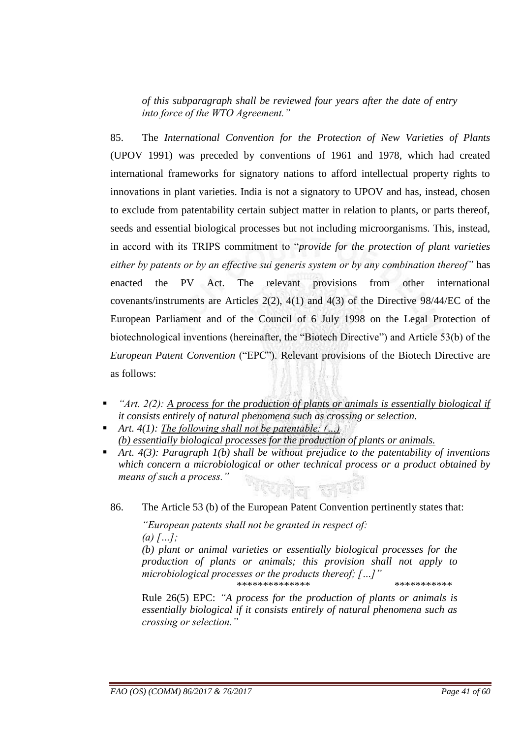*of this subparagraph shall be reviewed four years after the date of entry into force of the WTO Agreement.‖*

85. The *International Convention for the Protection of New Varieties of Plants* (UPOV 1991) was preceded by conventions of 1961 and 1978, which had created international frameworks for signatory nations to afford intellectual property rights to innovations in plant varieties. India is not a signatory to UPOV and has, instead, chosen to exclude from patentability certain subject matter in relation to plants, or parts thereof, seeds and essential biological processes but not including microorganisms. This, instead, in accord with its TRIPS commitment to "*provide for the protection of plant varieties*  either by patents or by an effective sui generis system or by any combination thereof" has enacted the PV Act. The relevant provisions from other international covenants/instruments are Articles 2(2), 4(1) and 4(3) of the Directive 98/44/EC of the European Parliament and of the Council of 6 July 1998 on the Legal Protection of biotechnological inventions (hereinafter, the "Biotech Directive") and Article 53(b) of the *European Patent Convention* ("EPC"). Relevant provisions of the Biotech Directive are as follows:

- *<sup>"Art. 2(2): A process for the production of plants or animals is essentially biological if*</sup> *it consists entirely of natural phenomena such as crossing or selection.*
- *Art. 4(1): The following shall not be patentable: (…) (b) essentially biological processes for the production of plants or animals.*
- *Art. 4(3): Paragraph 1(b) shall be without prejudice to the patentability of inventions which concern a microbiological or other technical process or a product obtained by means of such a process.‖*
	- 86. The Article 53 (b) of the European Patent Convention pertinently states that:

*―European patents shall not be granted in respect of: (a) […];* 

*(b) plant or animal varieties or essentially biological processes for the production of plants or animals; this provision shall not apply to microbiological processes or the products thereof; […]‖* \*\*\*\*\*\*\*\*\*\*\*\*\*\* \*\*\*\*\*\*\*\*\*\*\*

Rule 26(5) EPC: "A process for the production of plants or animals is *essentially biological if it consists entirely of natural phenomena such as crossing or selection.‖*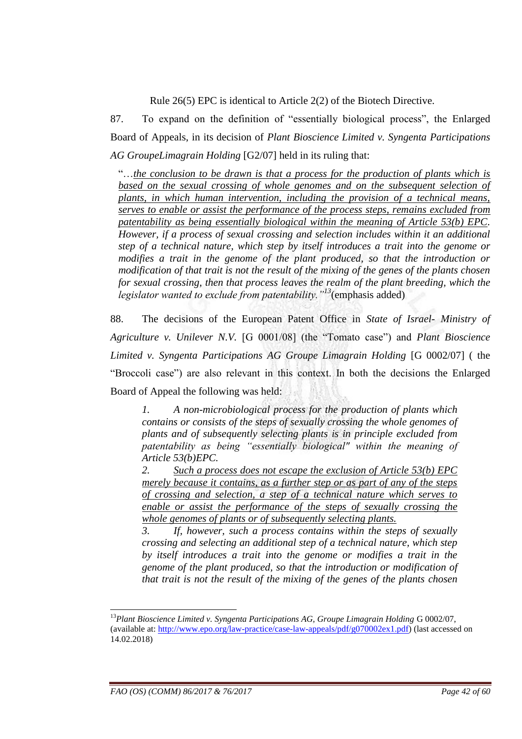Rule 26(5) EPC is identical to Article 2(2) of the Biotech Directive.

87. To expand on the definition of "essentially biological process", the Enlarged Board of Appeals, in its decision of *Plant Bioscience Limited v. Syngenta Participations AG GroupeLimagrain Holding* [G2/07] held in its ruling that:

"…*the conclusion to be drawn is that a process for the production of plants which is*  based on the sexual crossing of whole genomes and on the subsequent selection of *plants, in which human intervention, including the provision of a technical means, serves to enable or assist the performance of the process steps, remains excluded from patentability as being essentially biological within the meaning of Article 53(b) EPC. However, if a process of sexual crossing and selection includes within it an additional step of a technical nature, which step by itself introduces a trait into the genome or modifies a trait in the genome of the plant produced, so that the introduction or modification of that trait is not the result of the mixing of the genes of the plants chosen for sexual crossing, then that process leaves the realm of the plant breeding, which the legislator wanted to exclude from patentability.*<sup>*''*13</sup>(emphasis added)

88. The decisions of the European Patent Office in *State of Israel- Ministry of Agriculture v. Unilever N.V.* [G 0001/08] (the "Tomato case") and *Plant Bioscience Limited v. Syngenta Participations AG Groupe Limagrain Holding* [G 0002/07] ( the "Broccoli case") are also relevant in this context. In both the decisions the Enlarged Board of Appeal the following was held:

*1. A non-microbiological process for the production of plants which contains or consists of the steps of sexually crossing the whole genomes of plants and of subsequently selecting plants is in principle excluded from*  patentability as being "essentially biological" within the meaning of *Article 53(b)EPC.*

*2. Such a process does not escape the exclusion of Article 53(b) EPC merely because it contains, as a further step or as part of any of the steps of crossing and selection, a step of a technical nature which serves to enable or assist the performance of the steps of sexually crossing the whole genomes of plants or of subsequently selecting plants.*

*3. If, however, such a process contains within the steps of sexually crossing and selecting an additional step of a technical nature, which step by itself introduces a trait into the genome or modifies a trait in the genome of the plant produced, so that the introduction or modification of that trait is not the result of the mixing of the genes of the plants chosen* 

<u>.</u>

<sup>13</sup>*Plant Bioscience Limited v. Syngenta Participations AG, Groupe Limagrain Holding* G 0002/07, (available at: [http://www.epo.org/law-practice/case-law-appeals/pdf/g070002ex1.pdf\)](http://www.epo.org/law-practice/case-law-appeals/pdf/g070002ex1.pdf) (last accessed on 14.02.2018)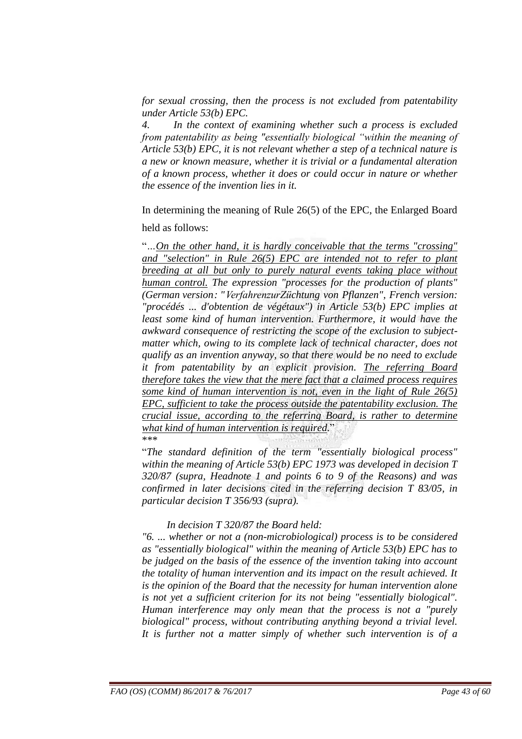*for sexual crossing, then the process is not excluded from patentability under Article 53(b) EPC.* 

*4. In the context of examining whether such a process is excluded from patentability as being "essentially biological "within the meaning of Article 53(b) EPC, it is not relevant whether a step of a technical nature is a new or known measure, whether it is trivial or a fundamental alteration of a known process, whether it does or could occur in nature or whether the essence of the invention lies in it.*

In determining the meaning of Rule 26(5) of the EPC, the Enlarged Board

#### held as follows:

"*…On the other hand, it is hardly conceivable that the terms "crossing" and "selection" in Rule 26(5) EPC are intended not to refer to plant breeding at all but only to purely natural events taking place without human control. The expression "processes for the production of plants" (German version: "VerfahrenzurZüchtung von Pflanzen", French version: "procédés ... d'obtention de végétaux") in Article 53(b) EPC implies at*  least some kind of human intervention. Furthermore, it would have the *awkward consequence of restricting the scope of the exclusion to subjectmatter which, owing to its complete lack of technical character, does not qualify as an invention anyway, so that there would be no need to exclude it from patentability by an explicit provision. The referring Board therefore takes the view that the mere fact that a claimed process requires some kind of human intervention is not, even in the light of Rule 26(5) EPC, sufficient to take the process outside the patentability exclusion. The crucial issue, according to the referring Board, is rather to determine what kind of human intervention is required.*" \*\*\*

"*The standard definition of the term "essentially biological process" within the meaning of Article 53(b) EPC 1973 was developed in decision T 320/87 (supra, Headnote 1 and points 6 to 9 of the Reasons) and was confirmed in later decisions cited in the referring decision T 83/05, in particular decision T 356/93 (supra).*

#### *In decision T 320/87 the Board held:*

*"6. ... whether or not a (non-microbiological) process is to be considered as "essentially biological" within the meaning of Article 53(b) EPC has to be judged on the basis of the essence of the invention taking into account the totality of human intervention and its impact on the result achieved. It is the opinion of the Board that the necessity for human intervention alone is not yet a sufficient criterion for its not being "essentially biological". Human interference may only mean that the process is not a "purely biological" process, without contributing anything beyond a trivial level. It is further not a matter simply of whether such intervention is of a*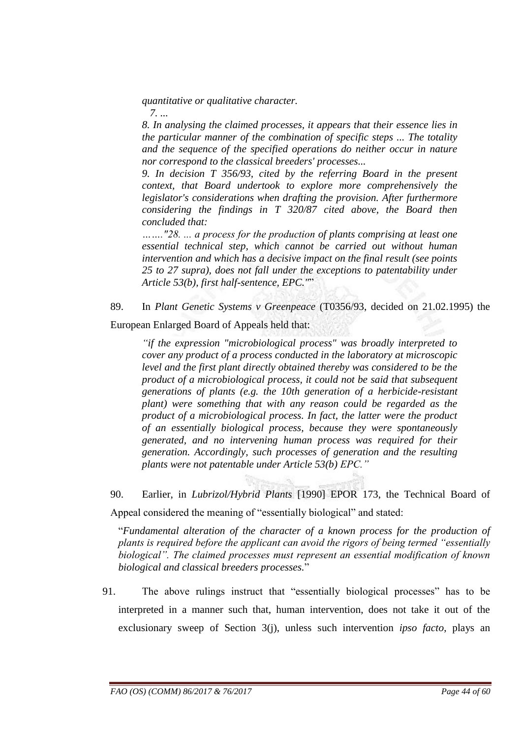*quantitative or qualitative character.*

*7. ...*

*8. In analysing the claimed processes, it appears that their essence lies in the particular manner of the combination of specific steps ... The totality and the sequence of the specified operations do neither occur in nature nor correspond to the classical breeders' processes...*

*9. In decision T 356/93, cited by the referring Board in the present context, that Board undertook to explore more comprehensively the legislator's considerations when drafting the provision. After furthermore considering the findings in T 320/87 cited above, the Board then concluded that:*

*……."28. ... a process for the production of plants comprising at least one essential technical step, which cannot be carried out without human intervention and which has a decisive impact on the final result (see points 25 to 27 supra), does not fall under the exceptions to patentability under Article 53(b), first half-sentence, EPC."*"

89. In *Plant Genetic Systems v Greenpeace* (T0356/93, decided on 21.02.1995) the European Enlarged Board of Appeals held that:

*―if the expression "microbiological process" was broadly interpreted to cover any product of a process conducted in the laboratory at microscopic level and the first plant directly obtained thereby was considered to be the product of a microbiological process, it could not be said that subsequent generations of plants (e.g. the 10th generation of a herbicide-resistant plant) were something that with any reason could be regarded as the product of a microbiological process. In fact, the latter were the product of an essentially biological process, because they were spontaneously generated, and no intervening human process was required for their generation. Accordingly, such processes of generation and the resulting plants were not patentable under Article 53(b) EPC.‖*

90. Earlier, in *Lubrizol/Hybrid Plants* [1990] EPOR 173, the Technical Board of Appeal considered the meaning of "essentially biological" and stated:

"*Fundamental alteration of the character of a known process for the production of plants is required before the applicant can avoid the rigors of being termed "essentially biological‖. The claimed processes must represent an essential modification of known biological and classical breeders processes.*"

91. The above rulings instruct that "essentially biological processes" has to be interpreted in a manner such that, human intervention, does not take it out of the exclusionary sweep of Section 3(j), unless such intervention *ipso facto*, plays an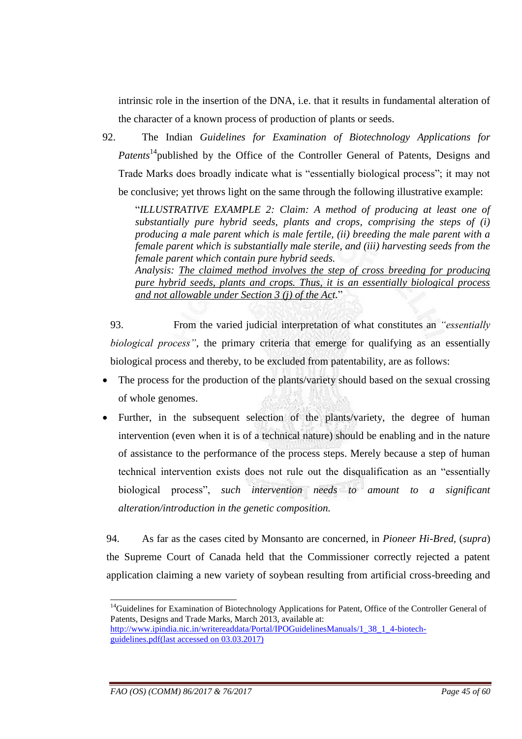intrinsic role in the insertion of the DNA, i.e. that it results in fundamental alteration of the character of a known process of production of plants or seeds.

92. The Indian *Guidelines for Examination of Biotechnology Applications for Patents*<sup>14</sup> published by the Office of the Controller General of Patents, Designs and Trade Marks does broadly indicate what is "essentially biological process"; it may not be conclusive; yet throws light on the same through the following illustrative example:

"*ILLUSTRATIVE EXAMPLE 2: Claim: A method of producing at least one of substantially pure hybrid seeds, plants and crops, comprising the steps of (i) producing a male parent which is male fertile, (ii) breeding the male parent with a female parent which is substantially male sterile, and (iii) harvesting seeds from the female parent which contain pure hybrid seeds.* 

*Analysis: The claimed method involves the step of cross breeding for producing pure hybrid seeds, plants and crops. Thus, it is an essentially biological process and not allowable under Section 3 (j) of the Act.*"

93. From the varied judicial interpretation of what constitutes an *"essentially biological process*", the primary criteria that emerge for qualifying as an essentially biological process and thereby, to be excluded from patentability, are as follows:

- The process for the production of the plants/variety should based on the sexual crossing of whole genomes.
- Further, in the subsequent selection of the plants/variety, the degree of human intervention (even when it is of a technical nature) should be enabling and in the nature of assistance to the performance of the process steps. Merely because a step of human technical intervention exists does not rule out the disqualification as an "essentially biological process", *such intervention needs to amount to a significant alteration/introduction in the genetic composition.*

94. As far as the cases cited by Monsanto are concerned, in *Pioneer Hi-Bred,* (*supra*) the Supreme Court of Canada held that the Commissioner correctly rejected a patent application claiming a new variety of soybean resulting from artificial cross-breeding and

<sup>&</sup>lt;u>.</u> <sup>14</sup>Guidelines for Examination of Biotechnology Applications for Patent, Office of the Controller General of Patents, Designs and Trade Marks, March 2013, available at:

[http://www.ipindia.nic.in/writereaddata/Portal/IPOGuidelinesManuals/1\\_38\\_1\\_4-biotech](http://www.ipindia.nic.in/writereaddata/Portal/IPOGuidelinesManuals/1_38_1_4-biotech-guidelines.pdf)[guidelines.pdf\(](http://www.ipindia.nic.in/writereaddata/Portal/IPOGuidelinesManuals/1_38_1_4-biotech-guidelines.pdf)last accessed on 03.03.2017)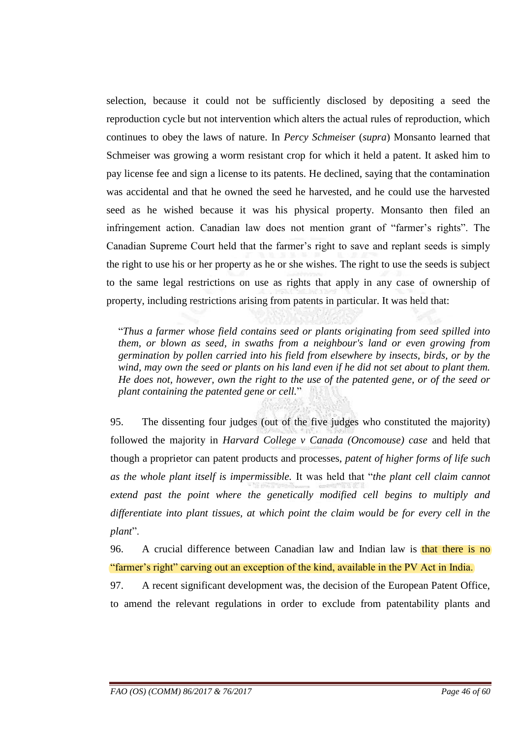selection, because it could not be sufficiently disclosed by depositing a seed the reproduction cycle but not intervention which alters the actual rules of reproduction, which continues to obey the laws of nature. In *Percy Schmeiser* (*supra*) Monsanto learned that Schmeiser was growing a worm resistant crop for which it held a patent. It asked him to pay license fee and sign a license to its patents. He declined, saying that the contamination was accidental and that he owned the seed he harvested, and he could use the harvested seed as he wished because it was his physical property. Monsanto then filed an infringement action. Canadian law does not mention grant of "farmer's rights". The Canadian Supreme Court held that the farmer"s right to save and replant seeds is simply the right to use his or her property as he or she wishes. The right to use the seeds is subject to the same legal restrictions on use as rights that apply in any case of ownership of property, including restrictions arising from patents in particular. It was held that:

"*Thus a farmer whose field contains seed or plants originating from seed spilled into them, or blown as seed, in swaths from a neighbour's land or even growing from germination by pollen carried into his field from elsewhere by insects, birds, or by the wind, may own the seed or plants on his land even if he did not set about to plant them. He does not, however, own the right to the use of the patented gene, or of the seed or plant containing the patented gene or cell.*"

95. The dissenting four judges (out of the five judges who constituted the majority) followed the majority in *Harvard College v Canada (Oncomouse) case* and held that though a proprietor can patent products and processes, *patent of higher forms of life such as the whole plant itself is impermissible.* It was held that "*the plant cell claim cannot extend past the point where the genetically modified cell begins to multiply and differentiate into plant tissues, at which point the claim would be for every cell in the plant*".

96. A crucial difference between Canadian law and Indian law is that there is no "farmer's right" carving out an exception of the kind, available in the PV Act in India.

97. A recent significant development was, the decision of the European Patent Office, to amend the relevant regulations in order to exclude from patentability plants and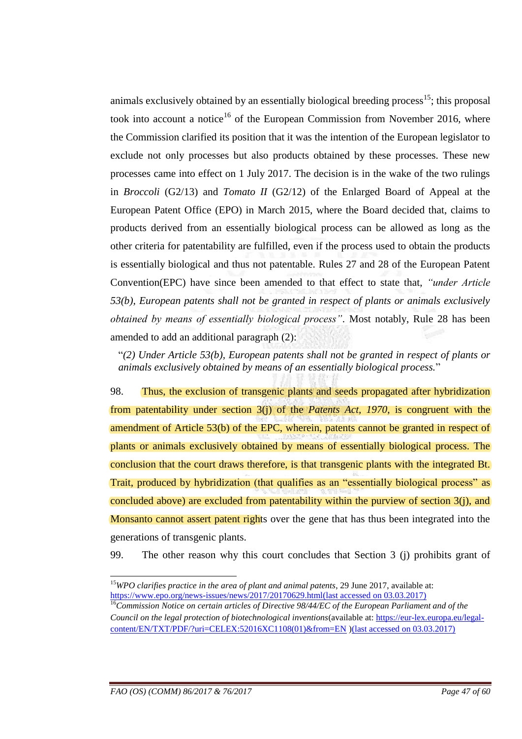animals exclusively obtained by an essentially biological breeding process<sup>15</sup>; this proposal took into account a notice<sup>16</sup> of the European Commission from November 2016, where the Commission clarified its position that it was the intention of the European legislator to exclude not only processes but also products obtained by these processes. These new processes came into effect on 1 July 2017. The decision is in the wake of the two rulings in *Broccoli* (G2/13) and *Tomato II* (G2/12) of the Enlarged Board of Appeal at the European Patent Office (EPO) in March 2015, where the Board decided that, claims to products derived from an essentially biological process can be allowed as long as the other criteria for patentability are fulfilled, even if the process used to obtain the products is essentially biological and thus not patentable. Rules 27 and 28 of the European Patent Convention(EPC) have since been amended to that effect to state that, *"under Article 53(b), European patents shall not be granted in respect of plants or animals exclusively obtained by means of essentially biological process*". Most notably, Rule 28 has been amended to add an additional paragraph (2):

"*(2) Under Article 53(b), European patents shall not be granted in respect of plants or animals exclusively obtained by means of an essentially biological process.*"

98. Thus, the exclusion of transgenic plants and seeds propagated after hybridization from patentability under section 3(j) of the *Patents Act, 1970*, is congruent with the amendment of Article 53(b) of the EPC, wherein, patents cannot be granted in respect of plants or animals exclusively obtained by means of essentially biological process. The conclusion that the court draws therefore, is that transgenic plants with the integrated Bt. Trait, produced by hybridization (that qualifies as an "essentially biological process" as concluded above) are excluded from patentability within the purview of section 3(j), and Monsanto cannot assert patent rights over the gene that has thus been integrated into the generations of transgenic plants.

99. The other reason why this court concludes that Section 3 (j) prohibits grant of

<sup>&</sup>lt;u>.</u> <sup>15</sup>WPO clarifies practice in the area of plant and animal patents, 29 June 2017, available at: [https://www.epo.org/news-issues/news/2017/20170629.html\(](https://www.epo.org/news-issues/news/2017/20170629.html)last accessed on 03.03.2017)

<sup>16</sup>*Commission Notice on certain articles of Directive 98/44/EC of the European Parliament and of the Council on the legal protection of biotechnological inventions*(available at: [https://eur-lex.europa.eu/legal](https://eur-lex.europa.eu/legal-content/EN/TXT/PDF/?uri=CELEX:52016XC1108(01)&from=EN)[content/EN/TXT/PDF/?uri=CELEX:52016XC1108\(01\)&from=EN](https://eur-lex.europa.eu/legal-content/EN/TXT/PDF/?uri=CELEX:52016XC1108(01)&from=EN) )(last accessed on 03.03.2017)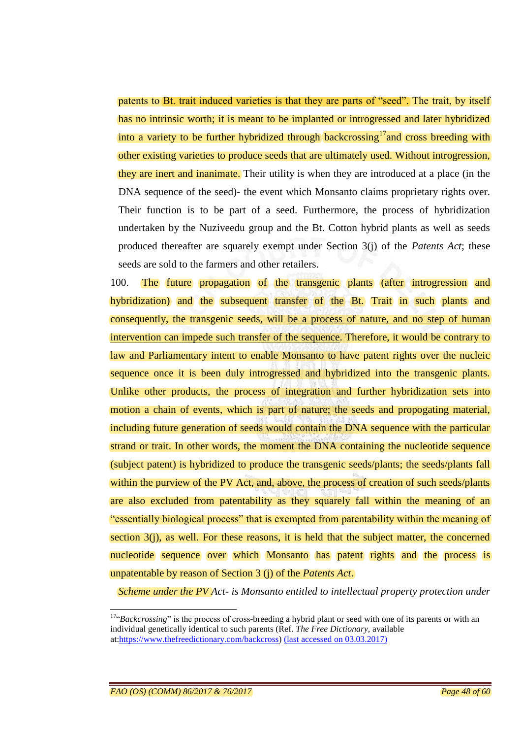patents to Bt. trait induced varieties is that they are parts of "seed". The trait, by itself has no intrinsic worth; it is meant to be implanted or introgressed and later hybridized into a variety to be further hybridized through backcrossing<sup>17</sup> and cross breeding with other existing varieties to produce seeds that are ultimately used. Without introgression, they are inert and inanimate. Their utility is when they are introduced at a place (in the DNA sequence of the seed)- the event which Monsanto claims proprietary rights over. Their function is to be part of a seed. Furthermore, the process of hybridization undertaken by the Nuziveedu group and the Bt. Cotton hybrid plants as well as seeds produced thereafter are squarely exempt under Section 3(j) of the *Patents Act*; these seeds are sold to the farmers and other retailers.

100. The future propagation of the transgenic plants (after introgression and hybridization) and the subsequent transfer of the Bt. Trait in such plants and consequently, the transgenic seeds, will be a process of nature, and no step of human intervention can impede such transfer of the sequence. Therefore, it would be contrary to law and Parliamentary intent to enable Monsanto to have patent rights over the nucleic sequence once it is been duly introgressed and hybridized into the transgenic plants. Unlike other products, the process of integration and further hybridization sets into motion a chain of events, which is part of nature; the seeds and propogating material, including future generation of seeds would contain the DNA sequence with the particular strand or trait. In other words, the moment the DNA containing the nucleotide sequence (subject patent) is hybridized to produce the transgenic seeds/plants; the seeds/plants fall within the purview of the PV Act, and, above, the process of creation of such seeds/plants are also excluded from patentability as they squarely fall within the meaning of an "essentially biological process" that is exempted from patentability within the meaning of section  $3(i)$ , as well. For these reasons, it is held that the subject matter, the concerned nucleotide sequence over which Monsanto has patent rights and the process is unpatentable by reason of Section 3 (j) of the *Patents Act*.

*Scheme under the PV Act- is Monsanto entitled to intellectual property protection under* 

<u>.</u>

<sup>&</sup>lt;sup>17"</sup>*Backcrossing*" is the process of cross-breeding a hybrid plant or seed with one of its parents or with an individual genetically identical to such parents (Ref. *The Free Dictionary,* available at[:https://www.thefreedictionary.com/backcross\)](https://www.thefreedictionary.com/backcross) (last accessed on 03.03.2017)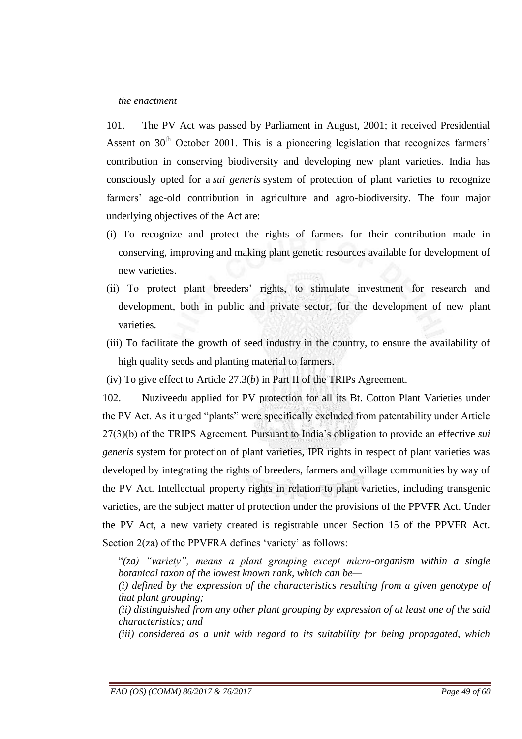#### *the enactment*

101. The PV Act was passed by Parliament in August, 2001; it received Presidential Assent on  $30<sup>th</sup>$  October 2001. This is a pioneering legislation that recognizes farmers' contribution in conserving biodiversity and developing new plant varieties. India has consciously opted for a *sui generis* system of protection of plant varieties to recognize farmers' age-old contribution in agriculture and agro-biodiversity. The four major underlying objectives of the Act are:

- (i) To recognize and protect the rights of farmers for their contribution made in conserving, improving and making plant genetic resources available for development of new varieties.
- (ii) To protect plant breeders" rights, to stimulate investment for research and development, both in public and private sector, for the development of new plant varieties.
- (iii) To facilitate the growth of seed industry in the country, to ensure the availability of high quality seeds and planting material to farmers.
- (iv) To give effect to Article 27.3(*b*) in Part II of the TRIPs Agreement.

102. Nuziveedu applied for PV protection for all its Bt. Cotton Plant Varieties under the PV Act. As it urged "plants" were specifically excluded from patentability under Article 27(3)(b) of the TRIPS Agreement. Pursuant to India"s obligation to provide an effective *sui generis* system for protection of plant varieties, IPR rights in respect of plant varieties was developed by integrating the rights of breeders, farmers and village communities by way of the PV Act. Intellectual property rights in relation to plant varieties, including transgenic varieties, are the subject matter of protection under the provisions of the PPVFR Act. Under the PV Act, a new variety created is registrable under Section 15 of the PPVFR Act. Section 2(za) of the PPVFRA defines 'variety' as follows:

"(*za*) "variety", means a plant grouping except micro-organism within a single *botanical taxon of the lowest known rank, which can be—*

*(i) defined by the expression of the characteristics resulting from a given genotype of that plant grouping;* 

*(ii) distinguished from any other plant grouping by expression of at least one of the said characteristics; and* 

*(iii) considered as a unit with regard to its suitability for being propagated, which*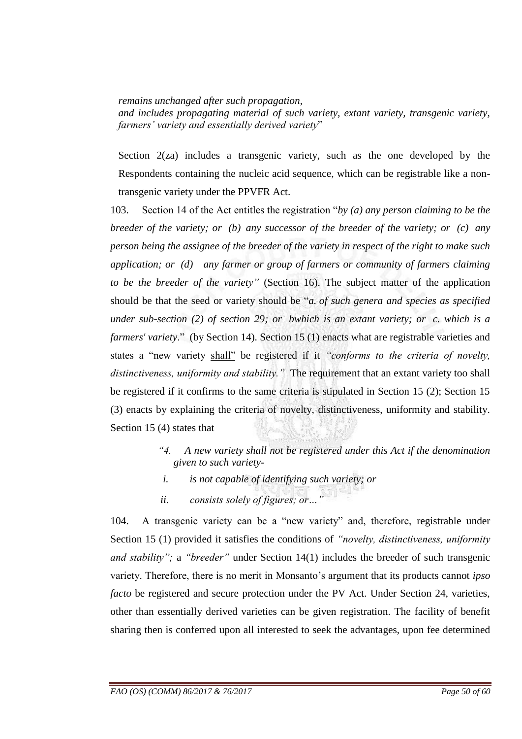*remains unchanged after such propagation,* 

*and includes propagating material of such variety, extant variety, transgenic variety, farmers' variety and essentially derived variety*"

Section 2(za) includes a transgenic variety, such as the one developed by the Respondents containing the nucleic acid sequence, which can be registrable like a nontransgenic variety under the PPVFR Act.

103. Section 14 of the Act entitles the registration "*by (a) any person claiming to be the breeder of the variety; or (b) any successor of the breeder of the variety; or (c) any person being the assignee of the breeder of the variety in respect of the right to make such application; or (d) any farmer or group of farmers or community of farmers claiming to be the breeder of the variety*" (Section 16). The subject matter of the application should be that the seed or variety should be "*a. of such genera and species as specified under sub-section (2) of section 29; or bwhich is an extant variety; or c. which is a farmers' variety*." (by Section 14). Section 15 (1) enacts what are registrable varieties and states a "new variety shall" be registered if it "conforms to the criteria of novelty, *distinctiveness, uniformity and stability.‖* The requirement that an extant variety too shall be registered if it confirms to the same criteria is stipulated in Section 15 (2); Section 15 (3) enacts by explaining the criteria of novelty, distinctiveness, uniformity and stability. Section 15 (4) states that

- *―4. A new variety shall not be registered under this Act if the denomination given to such variety-*
- *i. is not capable of identifying such variety; or*
- *ii.* consists solely of figures; or ...

104. A transgenic variety can be a "new variety" and, therefore, registrable under Section 15 (1) provided it satisfies the conditions of *"novelty, distinctiveness, uniformity and stability*"; a *"breeder"* under Section 14(1) includes the breeder of such transgenic variety. Therefore, there is no merit in Monsanto"s argument that its products cannot *ipso facto* be registered and secure protection under the PV Act. Under Section 24, varieties, other than essentially derived varieties can be given registration. The facility of benefit sharing then is conferred upon all interested to seek the advantages, upon fee determined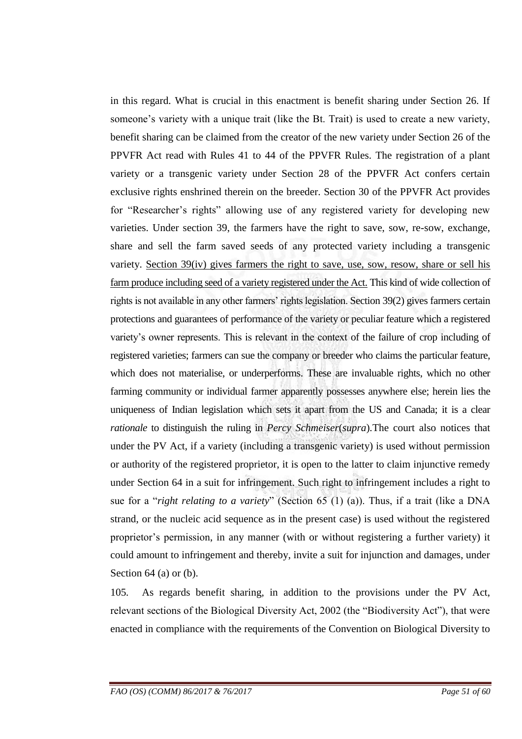in this regard. What is crucial in this enactment is benefit sharing under Section 26. If someone's variety with a unique trait (like the Bt. Trait) is used to create a new variety, benefit sharing can be claimed from the creator of the new variety under Section 26 of the PPVFR Act read with Rules 41 to 44 of the PPVFR Rules. The registration of a plant variety or a transgenic variety under Section 28 of the PPVFR Act confers certain exclusive rights enshrined therein on the breeder. Section 30 of the PPVFR Act provides for "Researcher"s rights" allowing use of any registered variety for developing new varieties. Under section 39, the farmers have the right to save, sow, re-sow, exchange, share and sell the farm saved seeds of any protected variety including a transgenic variety. Section 39(iv) gives farmers the right to save, use, sow, resow, share or sell his farm produce including seed of a variety registered under the Act. This kind of wide collection of rights is not available in any other farmers' rights legislation. Section 39(2) gives farmers certain protections and guarantees of performance of the variety or peculiar feature which a registered variety"s owner represents. This is relevant in the context of the failure of crop including of registered varieties; farmers can sue the company or breeder who claims the particular feature, which does not materialise, or underperforms. These are invaluable rights, which no other farming community or individual farmer apparently possesses anywhere else; herein lies the uniqueness of Indian legislation which sets it apart from the US and Canada; it is a clear *rationale* to distinguish the ruling in *Percy Schmeiser*(*supra*)*.*The court also notices that under the PV Act, if a variety (including a transgenic variety) is used without permission or authority of the registered proprietor, it is open to the latter to claim injunctive remedy under Section 64 in a suit for infringement. Such right to infringement includes a right to sue for a "*right relating to a variety*" (Section 65 (1) (a)). Thus, if a trait (like a DNA strand, or the nucleic acid sequence as in the present case) is used without the registered proprietor"s permission, in any manner (with or without registering a further variety) it could amount to infringement and thereby, invite a suit for injunction and damages, under Section 64 (a) or (b).

105*.* As regards benefit sharing, in addition to the provisions under the PV Act, relevant sections of the Biological Diversity Act, 2002 (the "Biodiversity Act"), that were enacted in compliance with the requirements of the Convention on Biological Diversity to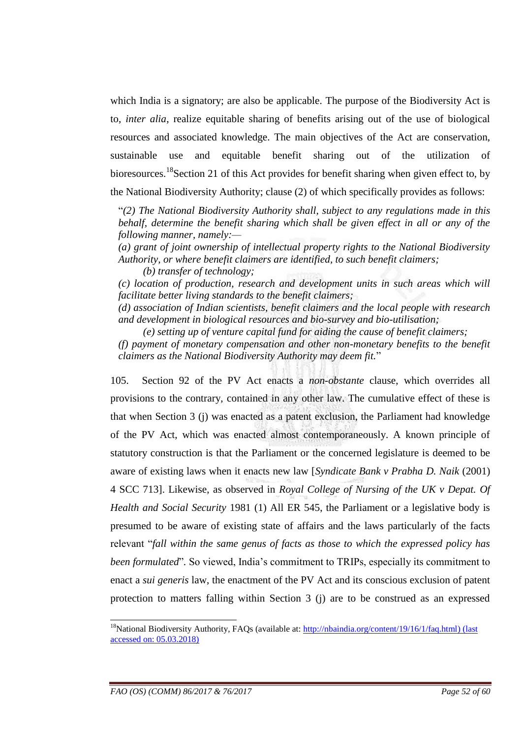which India is a signatory; are also be applicable. The purpose of the Biodiversity Act is to, *inter alia*, realize equitable sharing of benefits arising out of the use of biological resources and associated knowledge. The main objectives of the Act are conservation, sustainable use and equitable benefit sharing out of the utilization of bioresources.<sup>18</sup>Section 21 of this Act provides for benefit sharing when given effect to, by the National Biodiversity Authority; clause (2) of which specifically provides as follows:

"*(2) The National Biodiversity Authority shall, subject to any regulations made in this behalf, determine the benefit sharing which shall be given effect in all or any of the following manner, namely:—*

*(a) grant of joint ownership of intellectual property rights to the National Biodiversity Authority, or where benefit claimers are identified, to such benefit claimers;* 

*(b) transfer of technology;* 

*(c) location of production, research and development units in such areas which will facilitate better living standards to the benefit claimers;* 

*(d) association of Indian scientists, benefit claimers and the local people with research and development in biological resources and bio-survey and bio-utilisation;* 

*(e) setting up of venture capital fund for aiding the cause of benefit claimers;* 

*(f) payment of monetary compensation and other non-monetary benefits to the benefit claimers as the National Biodiversity Authority may deem fit.*"

105. Section 92 of the PV Act enacts a *non-obstante* clause, which overrides all provisions to the contrary, contained in any other law. The cumulative effect of these is that when Section 3 (j) was enacted as a patent exclusion, the Parliament had knowledge of the PV Act, which was enacted almost contemporaneously. A known principle of statutory construction is that the Parliament or the concerned legislature is deemed to be aware of existing laws when it enacts new law [*Syndicate Bank v Prabha D. Naik* (2001) 4 SCC 713]. Likewise, as observed in *Royal College of Nursing of the UK v Depat. Of Health and Social Security* 1981 (1) All ER 545, the Parliament or a legislative body is presumed to be aware of existing state of affairs and the laws particularly of the facts relevant "*fall within the same genus of facts as those to which the expressed policy has been formulated*"*.* So viewed, India"s commitment to TRIPs, especially its commitment to enact a *sui generis* law, the enactment of the PV Act and its conscious exclusion of patent protection to matters falling within Section 3 (j) are to be construed as an expressed

-

<sup>&</sup>lt;sup>18</sup>National Biodiversity Authority, FAQs (available at: [http://nbaindia.org/content/19/16/1/faq.html\)](http://nbaindia.org/content/19/16/1/faq.html) (last accessed on: 05.03.2018)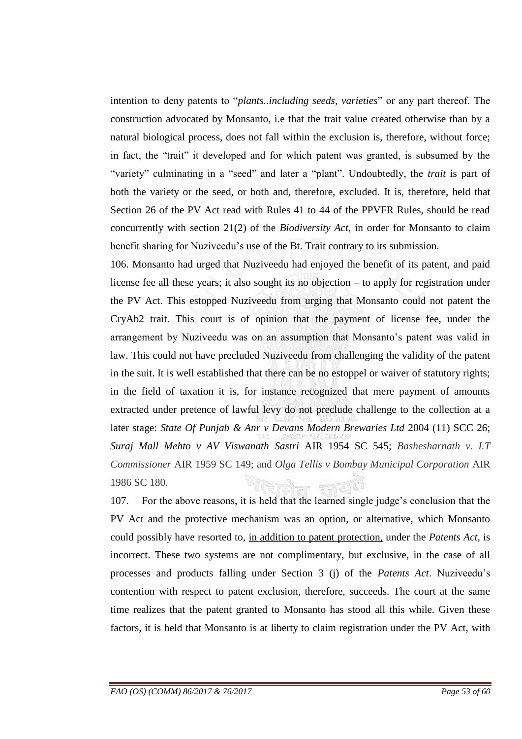intention to deny patents to "*plants..including seeds, varieties*" or any part thereof. The construction advocated by Monsanto, i.e that the trait value created otherwise than by a natural biological process, does not fall within the exclusion is, therefore, without force; in fact, the "trait" it developed and for which patent was granted, is subsumed by the "variety" culminating in a "seed" and later a "plant". Undoubtedly, the *trait* is part of both the variety or the seed, or both and, therefore, excluded. It is, therefore, held that Section 26 of the PV Act read with Rules 41 to 44 of the PPVFR Rules, should be read concurrently with section 21(2) of the *Biodiversity Act*, in order for Monsanto to claim benefit sharing for Nuziveedu"s use of the Bt. Trait contrary to its submission.

106. Monsanto had urged that Nuziveedu had enjoyed the benefit of its patent, and paid license fee all these years; it also sought its no objection – to apply for registration under the PV Act. This estopped Nuziveedu from urging that Monsanto could not patent the CryAb2 trait. This court is of opinion that the payment of license fee, under the arrangement by Nuziveedu was on an assumption that Monsanto's patent was valid in law. This could not have precluded Nuziveedu from challenging the validity of the patent in the suit. It is well established that there can be no estoppel or waiver of statutory rights; in the field of taxation it is, for instance recognized that mere payment of amounts extracted under pretence of lawful levy do not preclude challenge to the collection at a later stage: *State Of Punjab & Anr v Devans Modern Brewaries Ltd* 2004 (11) SCC 26; *Suraj Mall Mehto v AV Viswanath Sastri* AIR 1954 SC 545; *Bashesharnath v. I.T Commissioner* AIR 1959 SC 149; and *Olga Tellis v Bombay Municipal Corporation* AIR 1986 SC 180.

107. For the above reasons, it is held that the learned single judge"s conclusion that the PV Act and the protective mechanism was an option, or alternative, which Monsanto could possibly have resorted to, in addition to patent protection, under the *Patents Act*, is incorrect. These two systems are not complimentary, but exclusive, in the case of all processes and products falling under Section 3 (j) of the *Patents Act*. Nuziveedu"s contention with respect to patent exclusion, therefore, succeeds. The court at the same time realizes that the patent granted to Monsanto has stood all this while. Given these factors, it is held that Monsanto is at liberty to claim registration under the PV Act, with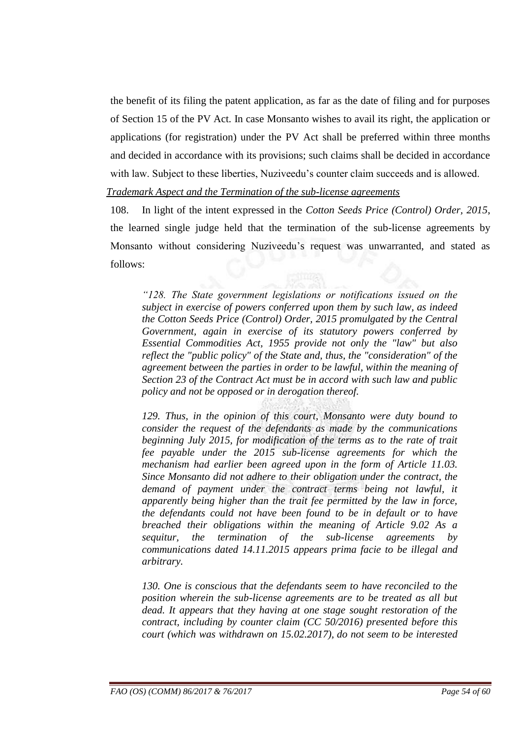the benefit of its filing the patent application, as far as the date of filing and for purposes of Section 15 of the PV Act. In case Monsanto wishes to avail its right, the application or applications (for registration) under the PV Act shall be preferred within three months and decided in accordance with its provisions; such claims shall be decided in accordance with law. Subject to these liberties, Nuziveedu's counter claim succeeds and is allowed.

#### *Trademark Aspect and the Termination of the sub-license agreements*

108. In light of the intent expressed in the *Cotton Seeds Price (Control) Order, 2015*, the learned single judge held that the termination of the sub-license agreements by Monsanto without considering Nuziveedu"s request was unwarranted, and stated as follows:

*―128. The State government legislations or notifications issued on the subject in exercise of powers conferred upon them by such law, as indeed the Cotton Seeds Price (Control) Order, 2015 promulgated by the Central Government, again in exercise of its statutory powers conferred by Essential Commodities Act, 1955 provide not only the "law" but also reflect the "public policy" of the State and, thus, the "consideration" of the agreement between the parties in order to be lawful, within the meaning of Section 23 of the Contract Act must be in accord with such law and public policy and not be opposed or in derogation thereof.*

*129. Thus, in the opinion of this court, Monsanto were duty bound to consider the request of the defendants as made by the communications beginning July 2015, for modification of the terms as to the rate of trait fee payable under the 2015 sub-license agreements for which the mechanism had earlier been agreed upon in the form of Article 11.03. Since Monsanto did not adhere to their obligation under the contract, the demand of payment under the contract terms being not lawful, it apparently being higher than the trait fee permitted by the law in force, the defendants could not have been found to be in default or to have breached their obligations within the meaning of Article 9.02 As a sequitur, the termination of the sub-license agreements by communications dated 14.11.2015 appears prima facie to be illegal and arbitrary.*

*130. One is conscious that the defendants seem to have reconciled to the position wherein the sub-license agreements are to be treated as all but dead. It appears that they having at one stage sought restoration of the contract, including by counter claim (CC 50/2016) presented before this court (which was withdrawn on 15.02.2017), do not seem to be interested*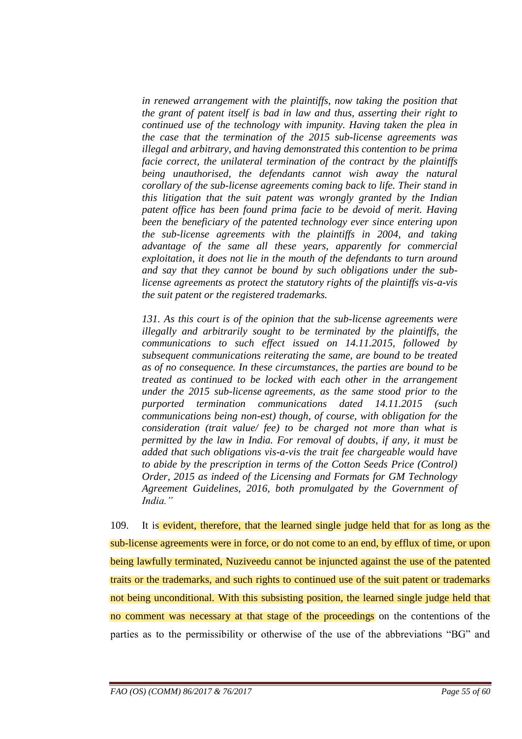*in renewed arrangement with the plaintiffs, now taking the position that the grant of patent itself is bad in law and thus, asserting their right to continued use of the technology with impunity. Having taken the plea in the case that the termination of the 2015 sub-license agreements was illegal and arbitrary, and having demonstrated this contention to be prima facie correct, the unilateral termination of the contract by the plaintiffs being unauthorised, the defendants cannot wish away the natural corollary of the sub-license agreements coming back to life. Their stand in this litigation that the suit patent was wrongly granted by the Indian patent office has been found prima facie to be devoid of merit. Having been the beneficiary of the patented technology ever since entering upon the sub-license agreements with the plaintiffs in 2004, and taking advantage of the same all these years, apparently for commercial exploitation, it does not lie in the mouth of the defendants to turn around and say that they cannot be bound by such obligations under the sublicense agreements as protect the statutory rights of the plaintiffs vis-a-vis the suit patent or the registered trademarks.*

*131. As this court is of the opinion that the sub-license agreements were illegally and arbitrarily sought to be terminated by the plaintiffs, the communications to such effect issued on 14.11.2015, followed by subsequent communications reiterating the same, are bound to be treated as of no consequence. In these circumstances, the parties are bound to be treated as continued to be locked with each other in the arrangement under the 2015 sub-license agreements, as the same stood prior to the purported termination communications dated 14.11.2015 (such communications being non-est) though, of course, with obligation for the consideration (trait value/ fee) to be charged not more than what is permitted by the law in India. For removal of doubts, if any, it must be added that such obligations vis-a-vis the trait fee chargeable would have to abide by the prescription in terms of the Cotton Seeds Price (Control) Order, 2015 as indeed of the Licensing and Formats for GM Technology Agreement Guidelines, 2016, both promulgated by the Government of India.‖*

109. It is evident, therefore, that the learned single judge held that for as long as the sub-license agreements were in force, or do not come to an end, by efflux of time, or upon being lawfully terminated, Nuziveedu cannot be injuncted against the use of the patented traits or the trademarks, and such rights to continued use of the suit patent or trademarks not being unconditional. With this subsisting position, the learned single judge held that no comment was necessary at that stage of the proceedings on the contentions of the parties as to the permissibility or otherwise of the use of the abbreviations "BG" and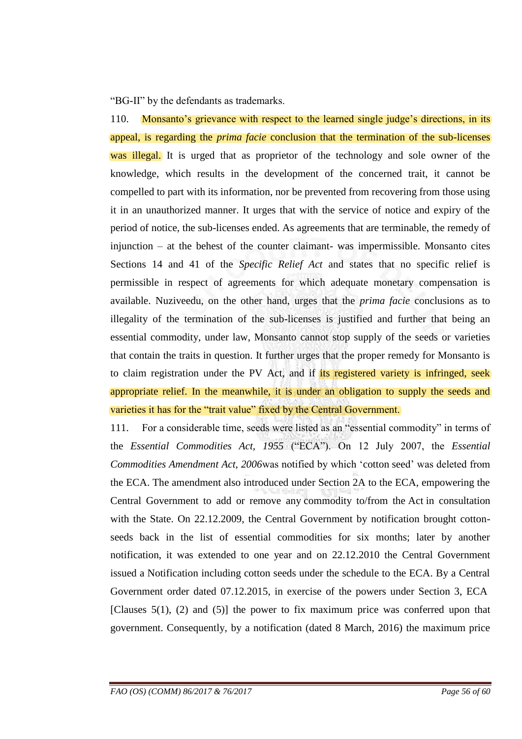"BG-II" by the defendants as trademarks.

110. Monsanto's grievance with respect to the learned single judge's directions, in its appeal, is regarding the *prima facie* conclusion that the termination of the sub-licenses was illegal. It is urged that as proprietor of the technology and sole owner of the knowledge, which results in the development of the concerned trait, it cannot be compelled to part with its information, nor be prevented from recovering from those using it in an unauthorized manner. It urges that with the service of notice and expiry of the period of notice, the sub-licenses ended. As agreements that are terminable, the remedy of injunction – at the behest of the counter claimant- was impermissible. Monsanto cites Sections 14 and 41 of the *Specific Relief Act* and states that no specific relief is permissible in respect of agreements for which adequate monetary compensation is available. Nuziveedu, on the other hand, urges that the *prima facie* conclusions as to illegality of the termination of the sub-licenses is justified and further that being an essential commodity, under law, Monsanto cannot stop supply of the seeds or varieties that contain the traits in question. It further urges that the proper remedy for Monsanto is to claim registration under the PV Act, and if its registered variety is infringed, seek appropriate relief. In the meanwhile, it is under an obligation to supply the seeds and varieties it has for the "trait value" fixed by the Central Government.

111. For a considerable time, seeds were listed as an "essential commodity" in terms of the *Essential Commodities Act, 1955* ("ECA"). On 12 July 2007, the *Essential Commodities Amendment Act, 2006*was notified by which "cotton seed" was deleted from the ECA. The amendment also introduced under Section 2A to the ECA, empowering the Central Government to add or remove any commodity to/from the Act in consultation with the State. On 22.12.2009, the Central Government by notification brought cottonseeds back in the list of essential commodities for six months; later by another notification, it was extended to one year and on 22.12.2010 the Central Government issued a Notification including cotton seeds under the schedule to the ECA. By a Central Government order dated 07.12.2015, in exercise of the powers under Section 3, ECA [Clauses  $5(1)$ , (2) and  $(5)$ ] the power to fix maximum price was conferred upon that government. Consequently, by a notification (dated 8 March, 2016) the maximum price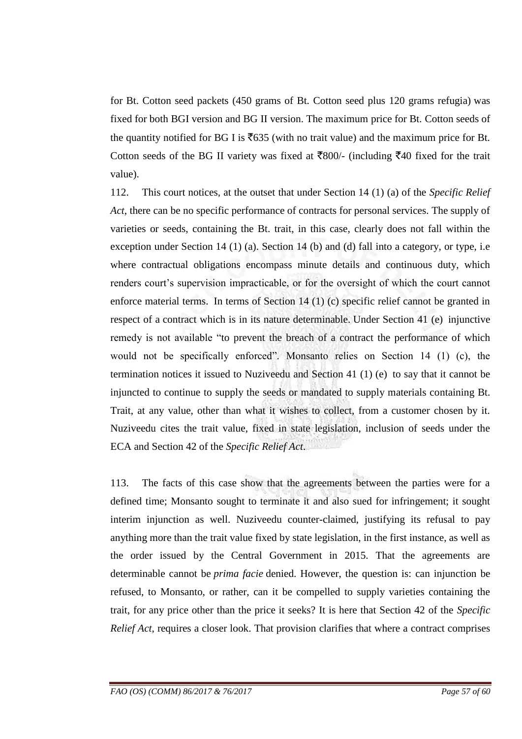for Bt. Cotton seed packets (450 grams of Bt. Cotton seed plus 120 grams refugia) was fixed for both BGI version and BG II version. The maximum price for Bt. Cotton seeds of the quantity notified for BG I is  $\overline{6}$  635 (with no trait value) and the maximum price for Bt. Cotton seeds of the BG II variety was fixed at  $\overline{\xi}800/(-1)$  (including  $\overline{\xi}40$  fixed for the trait value).

112. This court notices, at the outset that under Section 14 (1) (a) of the *Specific Relief Act*, there can be no specific performance of contracts for personal services. The supply of varieties or seeds, containing the Bt. trait, in this case, clearly does not fall within the exception under Section 14 (1) (a). Section 14 (b) and (d) fall into a category, or type, i.e where contractual obligations encompass minute details and continuous duty, which renders court's supervision impracticable, or for the oversight of which the court cannot enforce material terms. In terms of Section 14 (1) (c) specific relief cannot be granted in respect of a contract which is in its nature determinable. Under Section 41 (e) injunctive remedy is not available "to prevent the breach of a contract the performance of which would not be specifically enforced". Monsanto relies on Section 14 (1) (c), the termination notices it issued to Nuziveedu and Section 41 (1) (e) to say that it cannot be injuncted to continue to supply the seeds or mandated to supply materials containing Bt. Trait, at any value, other than what it wishes to collect, from a customer chosen by it. Nuziveedu cites the trait value, fixed in state legislation, inclusion of seeds under the ECA and Section 42 of the *Specific Relief Act*.

113. The facts of this case show that the agreements between the parties were for a defined time; Monsanto sought to terminate it and also sued for infringement; it sought interim injunction as well. Nuziveedu counter-claimed, justifying its refusal to pay anything more than the trait value fixed by state legislation, in the first instance, as well as the order issued by the Central Government in 2015. That the agreements are determinable cannot be *prima facie* denied. However, the question is: can injunction be refused, to Monsanto, or rather, can it be compelled to supply varieties containing the trait, for any price other than the price it seeks? It is here that Section 42 of the *Specific Relief Act*, requires a closer look. That provision clarifies that where a contract comprises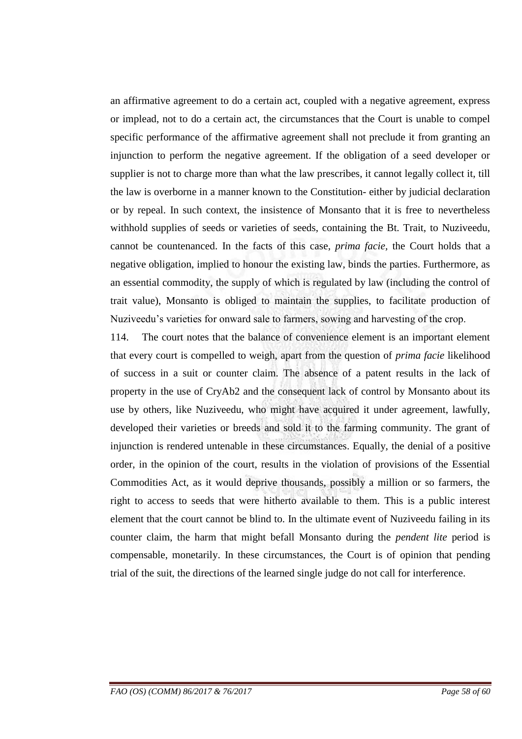an affirmative agreement to do a certain act, coupled with a negative agreement, express or implead, not to do a certain act, the circumstances that the Court is unable to compel specific performance of the affirmative agreement shall not preclude it from granting an injunction to perform the negative agreement. If the obligation of a seed developer or supplier is not to charge more than what the law prescribes, it cannot legally collect it, till the law is overborne in a manner known to the Constitution- either by judicial declaration or by repeal. In such context, the insistence of Monsanto that it is free to nevertheless withhold supplies of seeds or varieties of seeds, containing the Bt. Trait, to Nuziveedu, cannot be countenanced. In the facts of this case, *prima facie,* the Court holds that a negative obligation, implied to honour the existing law, binds the parties. Furthermore, as an essential commodity, the supply of which is regulated by law (including the control of trait value), Monsanto is obliged to maintain the supplies, to facilitate production of Nuziveedu"s varieties for onward sale to farmers, sowing and harvesting of the crop.

114. The court notes that the balance of convenience element is an important element that every court is compelled to weigh, apart from the question of *prima facie* likelihood of success in a suit or counter claim. The absence of a patent results in the lack of property in the use of CryAb2 and the consequent lack of control by Monsanto about its use by others, like Nuziveedu, who might have acquired it under agreement, lawfully, developed their varieties or breeds and sold it to the farming community. The grant of injunction is rendered untenable in these circumstances. Equally, the denial of a positive order, in the opinion of the court, results in the violation of provisions of the Essential Commodities Act, as it would deprive thousands, possibly a million or so farmers, the right to access to seeds that were hitherto available to them. This is a public interest element that the court cannot be blind to. In the ultimate event of Nuziveedu failing in its counter claim, the harm that might befall Monsanto during the *pendent lite* period is compensable, monetarily. In these circumstances, the Court is of opinion that pending trial of the suit, the directions of the learned single judge do not call for interference.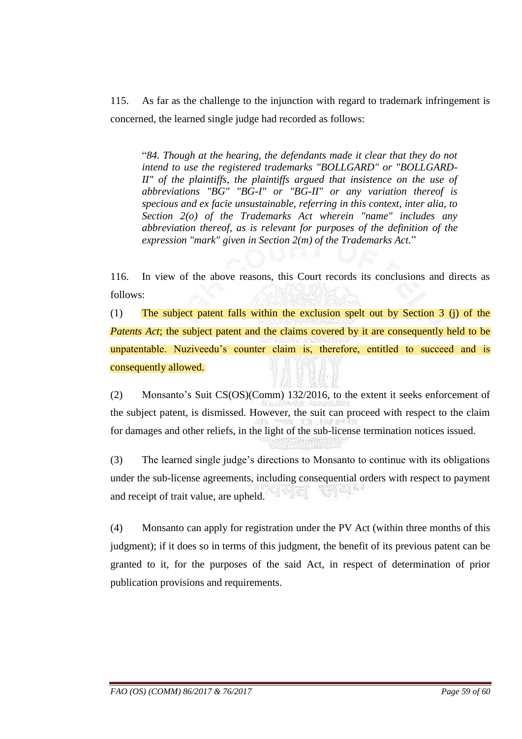115. As far as the challenge to the injunction with regard to trademark infringement is concerned, the learned single judge had recorded as follows:

"*84. Though at the hearing, the defendants made it clear that they do not intend to use the registered trademarks "BOLLGARD" or "BOLLGARD-II" of the plaintiffs, the plaintiffs argued that insistence on the use of abbreviations "BG" "BG-I" or "BG-II" or any variation thereof is specious and ex facie unsustainable, referring in this context, inter alia, to Section 2(o) of the Trademarks Act wherein "name" includes any abbreviation thereof, as is relevant for purposes of the definition of the expression "mark" given in Section 2(m) of the Trademarks Act.*"

116. In view of the above reasons, this Court records its conclusions and directs as follows:

(1) The subject patent falls within the exclusion spelt out by Section 3 (j) of the *Patents Act*; the subject patent and the claims covered by it are consequently held to be unpatentable. Nuziveedu's counter claim is, therefore, entitled to succeed and is consequently allowed.

(2) Monsanto"s Suit CS(OS)(Comm) 132/2016, to the extent it seeks enforcement of the subject patent, is dismissed. However, the suit can proceed with respect to the claim for damages and other reliefs, in the light of the sub-license termination notices issued.

(3) The learned single judge"s directions to Monsanto to continue with its obligations under the sub-license agreements, including consequential orders with respect to payment and receipt of trait value, are upheld.

(4) Monsanto can apply for registration under the PV Act (within three months of this judgment); if it does so in terms of this judgment, the benefit of its previous patent can be granted to it, for the purposes of the said Act, in respect of determination of prior publication provisions and requirements.